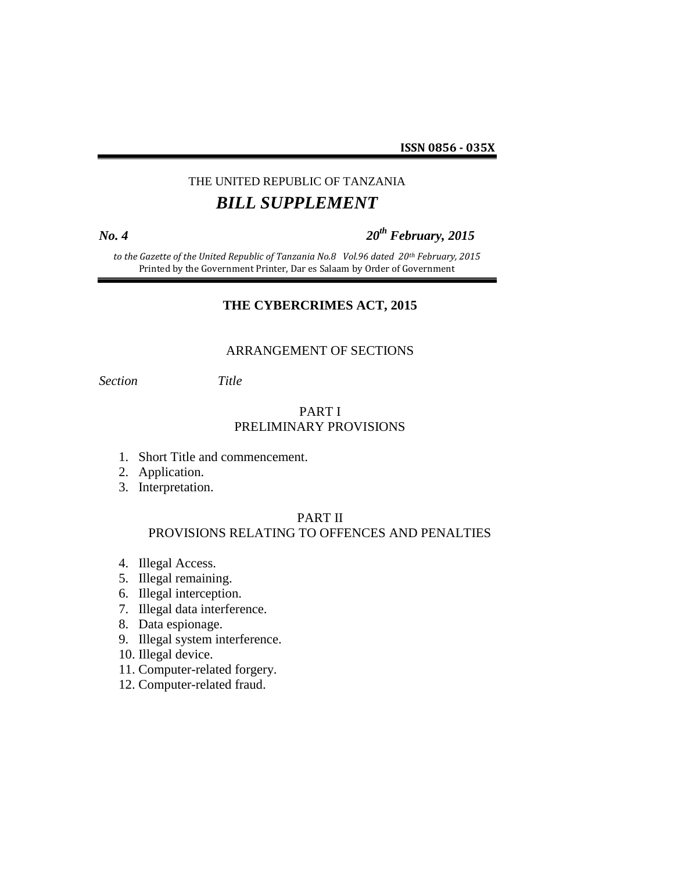**ISSN 0856 - 035X**

# THE UNITED REPUBLIC OF TANZANIA *BILL SUPPLEMENT*

## *No. 4 20th February, 2015*

*to the Gazette of the United Republic of Tanzania No.8 Vol.96 dated 20th February, 2015* Printed by the Government Printer, Dar es Salaam by Order of Government

#### **THE CYBERCRIMES ACT, 2015**

#### ARRANGEMENT OF SECTIONS

*Section Title*

### PART I PRELIMINARY PROVISIONS

- 1. Short Title and commencement.
- 2. Application.
- 3. Interpretation.

#### PART II

## PROVISIONS RELATING TO OFFENCES AND PENALTIES

- 4. Illegal Access.
- 5. Illegal remaining.
- 6. Illegal interception.
- 7. Illegal data interference.
- 8. Data espionage.
- 9. Illegal system interference.
- 10. Illegal device.
- 11. Computer-related forgery.
- 12. Computer-related fraud.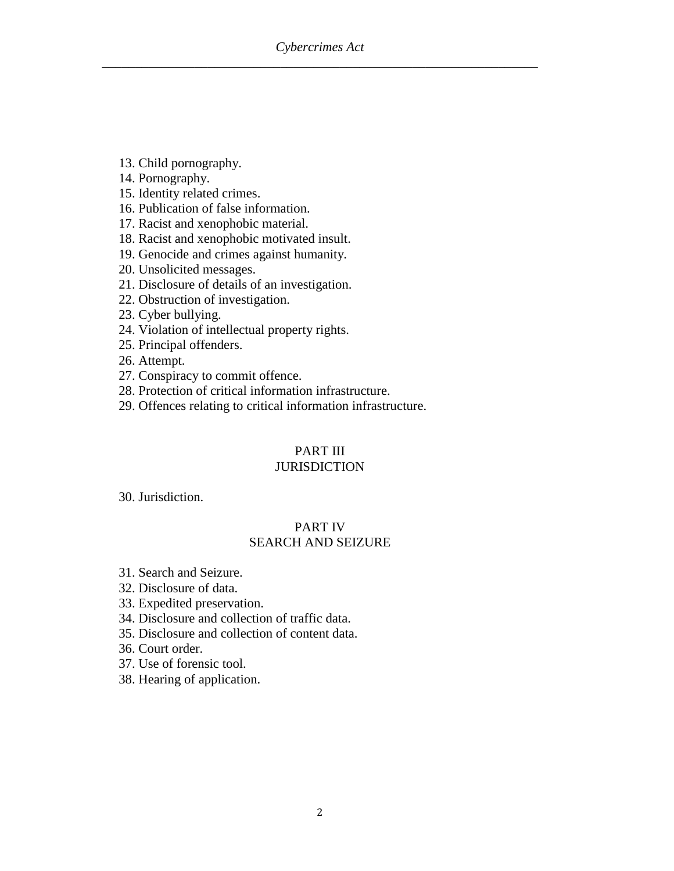- 13. Child pornography.
- 14. Pornography.
- 15. Identity related crimes.
- 16. Publication of false information.
- 17. Racist and xenophobic material.
- 18. Racist and xenophobic motivated insult.
- 19. Genocide and crimes against humanity.
- 20. Unsolicited messages.
- 21. Disclosure of details of an investigation.
- 22. Obstruction of investigation.
- 23. Cyber bullying.
- 24. Violation of intellectual property rights.
- 25. Principal offenders.
- 26. Attempt.
- 27. Conspiracy to commit offence.
- 28. Protection of critical information infrastructure.
- 29. Offences relating to critical information infrastructure.

# PART III

## **JURISDICTION**

30. Jurisdiction.

## PART IV SEARCH AND SEIZURE

- 31. Search and Seizure.
- 32. Disclosure of data.
- 33. Expedited preservation.
- 34. Disclosure and collection of traffic data.
- 35. Disclosure and collection of content data.
- 36. Court order.
- 37. Use of forensic tool.
- 38. Hearing of application.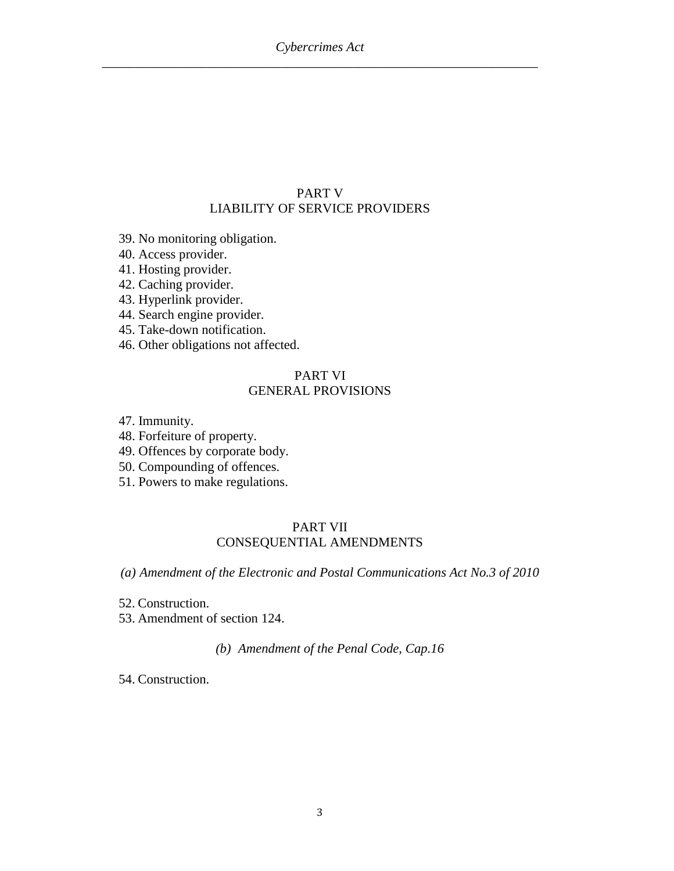## PART V LIABILITY OF SERVICE PROVIDERS

- 39. No monitoring obligation.
- 40. Access provider.
- 41. Hosting provider.
- 42. Caching provider.
- 43. Hyperlink provider.
- 44. Search engine provider.
- 45. Take-down notification.
- 46. Other obligations not affected.

## PART VI GENERAL PROVISIONS

- 47. Immunity.
- 48. Forfeiture of property.
- 49. Offences by corporate body.
- 50. Compounding of offences.
- 51. Powers to make regulations.

#### PART VII CONSEQUENTIAL AMENDMENTS

*(a) Amendment of the Electronic and Postal Communications Act No.3 of 2010*

- 52. Construction.
- 53. Amendment of section 124.

*(b) Amendment of the Penal Code, Cap.16*

54. Construction.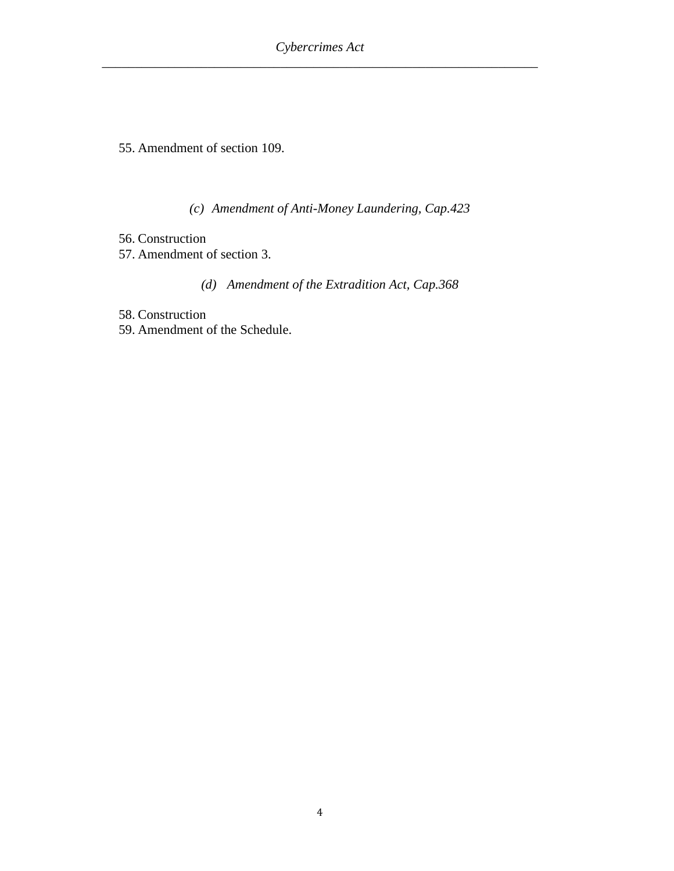55. Amendment of section 109.

*(c) Amendment of Anti-Money Laundering, Cap.423*

56. Construction 57. Amendment of section 3.

*(d) Amendment of the Extradition Act, Cap.368*

58. Construction

59. Amendment of the Schedule.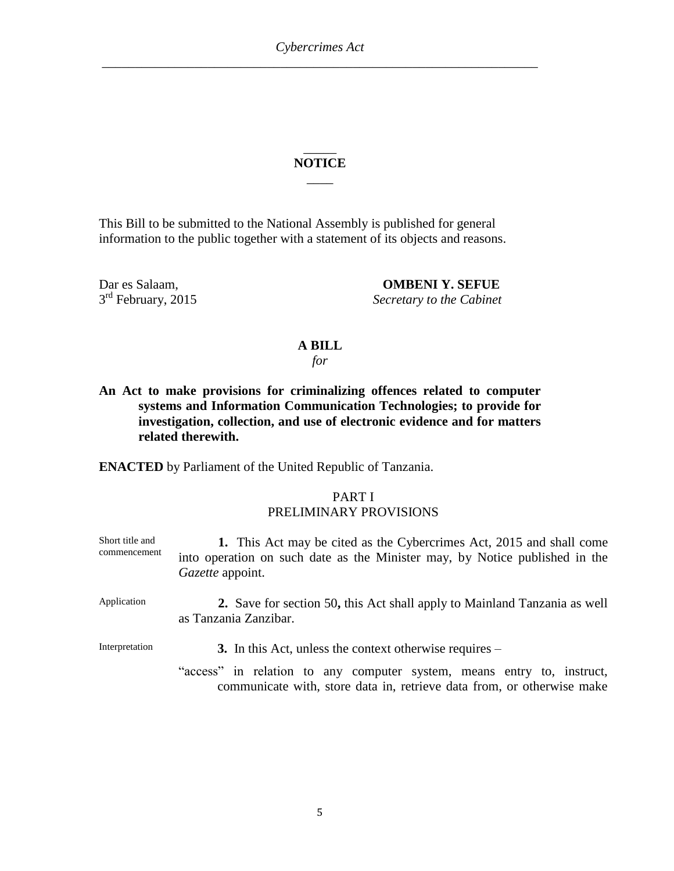### \_\_\_\_\_ **NOTICE**  $\overline{\phantom{a}}$

This Bill to be submitted to the National Assembly is published for general information to the public together with a statement of its objects and reasons.

3<sup>rd</sup> February, 2015

Dar es Salaam, **OMBENI Y. SEFUE Secretary to the Cabinet** 

#### **A BILL**

*for*

## **An Act to make provisions for criminalizing offences related to computer systems and Information Communication Technologies; to provide for investigation, collection, and use of electronic evidence and for matters related therewith.**

**ENACTED** by Parliament of the United Republic of Tanzania.

#### PART I PRELIMINARY PROVISIONS

Short title and commencement **1.** This Act may be cited as the Cybercrimes Act, 2015 and shall come into operation on such date as the Minister may, by Notice published in the *Gazette* appoint. Application **2.** Save for section 50**,** this Act shall apply to Mainland Tanzania as well as Tanzania Zanzibar. Interpretation **3.** In this Act, unless the context otherwise requires – "access" in relation to any computer system, means entry to, instruct, communicate with, store data in, retrieve data from, or otherwise make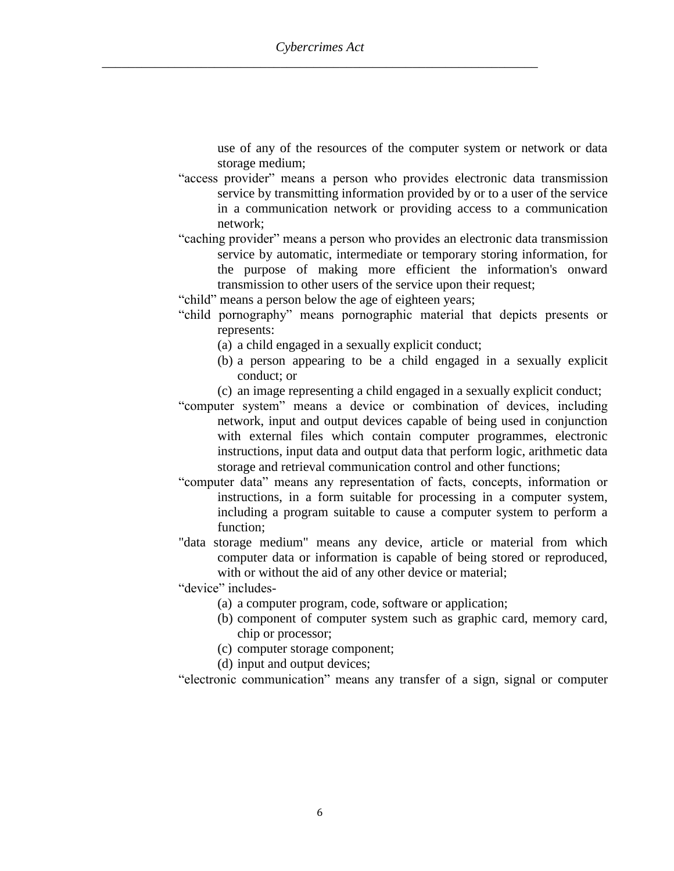use of any of the resources of the computer system or network or data storage medium;

- "access provider" means a person who provides electronic data transmission service by transmitting information provided by or to a user of the service in a communication network or providing access to a communication network;
- "caching provider" means a person who provides an electronic data transmission service by automatic, intermediate or temporary storing information, for the purpose of making more efficient the information's onward transmission to other users of the service upon their request;
- "child" means a person below the age of eighteen years;
- "child pornography" means pornographic material that depicts presents or represents:
	- (a) a child engaged in a sexually explicit conduct;
	- (b) a person appearing to be a child engaged in a sexually explicit conduct; or
	- (c) an image representing a child engaged in a sexually explicit conduct;
- "computer system" means a device or combination of devices, including network, input and output devices capable of being used in conjunction with external files which contain computer programmes, electronic instructions, input data and output data that perform logic, arithmetic data storage and retrieval communication control and other functions;
- "computer data" means any representation of facts, concepts, information or instructions, in a form suitable for processing in a computer system, including a program suitable to cause a computer system to perform a function;
- "data storage medium" means any device, article or material from which computer data or information is capable of being stored or reproduced, with or without the aid of any other device or material;

"device" includes-

- (a) a computer program, code, software or application;
- (b) component of computer system such as graphic card, memory card, chip or processor;
- (c) computer storage component;
- (d) input and output devices;

"electronic communication" means any transfer of a sign, signal or computer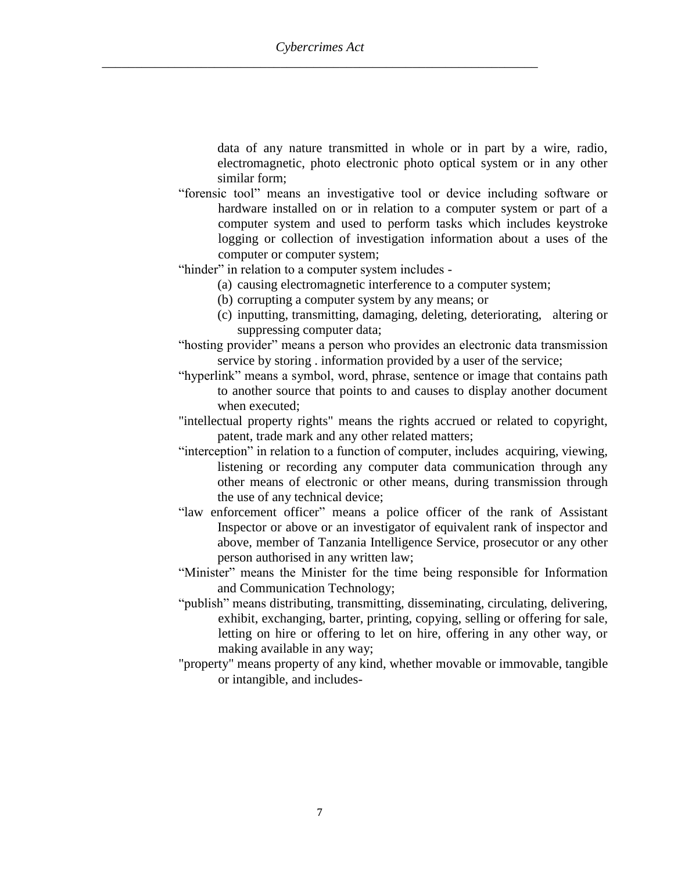data of any nature transmitted in whole or in part by a wire, radio, electromagnetic, photo electronic photo optical system or in any other similar form;

- "forensic tool" means an investigative tool or device including software or hardware installed on or in relation to a computer system or part of a computer system and used to perform tasks which includes keystroke logging or collection of investigation information about a uses of the computer or computer system;
- "hinder" in relation to a computer system includes
	- (a) causing electromagnetic interference to a computer system;
	- (b) corrupting a computer system by any means; or
	- (c) inputting, transmitting, damaging, deleting, deteriorating, altering or suppressing computer data;
- "hosting provider" means a person who provides an electronic data transmission service by storing . information provided by a user of the service;
- "hyperlink" means a symbol, word, phrase, sentence or image that contains path to another source that points to and causes to display another document when executed;
- "intellectual property rights" means the rights accrued or related to copyright, patent, trade mark and any other related matters;
- "interception" in relation to a function of computer, includes acquiring, viewing, listening or recording any computer data communication through any other means of electronic or other means, during transmission through the use of any technical device;
- "law enforcement officer" means a police officer of the rank of Assistant Inspector or above or an investigator of equivalent rank of inspector and above, member of Tanzania Intelligence Service, prosecutor or any other person authorised in any written law;
- "Minister" means the Minister for the time being responsible for Information and Communication Technology;
- "publish" means distributing, transmitting, disseminating, circulating, delivering, exhibit, exchanging, barter, printing, copying, selling or offering for sale, letting on hire or offering to let on hire, offering in any other way, or making available in any way;
- "property" means property of any kind, whether movable or immovable, tangible or intangible, and includes-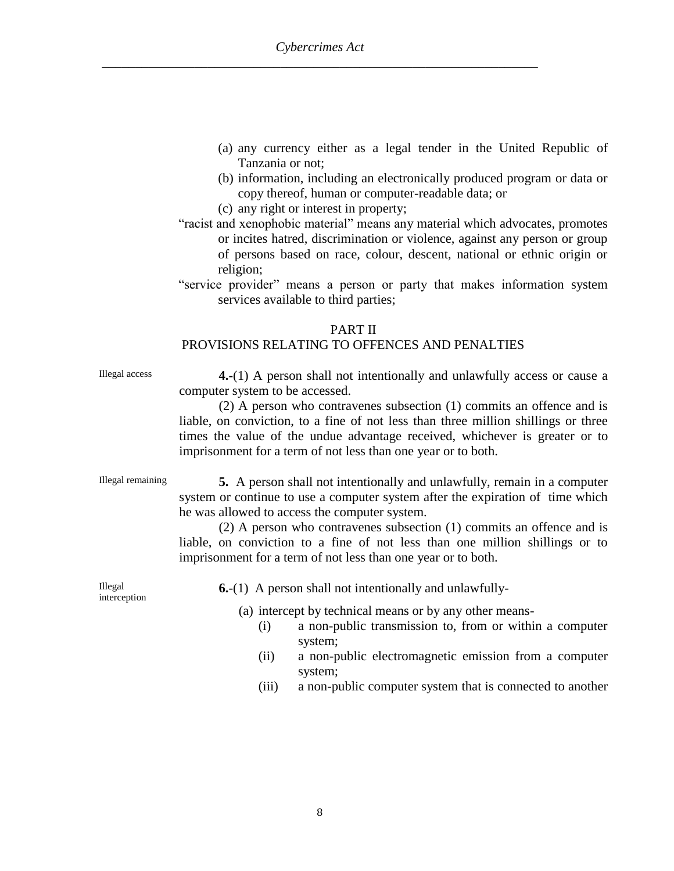- (a) any currency either as a legal tender in the United Republic of Tanzania or not;
- (b) information, including an electronically produced program or data or copy thereof, human or computer-readable data; or
- (c) any right or interest in property;
- "racist and xenophobic material" means any material which advocates, promotes or incites hatred, discrimination or violence, against any person or group of persons based on race, colour, descent, national or ethnic origin or religion;
- "service provider" means a person or party that makes information system services available to third parties;

#### PART II

#### PROVISIONS RELATING TO OFFENCES AND PENALTIES

Illegal access **4.-**(1) A person shall not intentionally and unlawfully access or cause a computer system to be accessed.

> (2) A person who contravenes subsection (1) commits an offence and is liable, on conviction, to a fine of not less than three million shillings or three times the value of the undue advantage received, whichever is greater or to imprisonment for a term of not less than one year or to both.

Illegal remaining **5.** A person shall not intentionally and unlawfully, remain in a computer system or continue to use a computer system after the expiration of time which he was allowed to access the computer system.

> (2) A person who contravenes subsection (1) commits an offence and is liable, on conviction to a fine of not less than one million shillings or to imprisonment for a term of not less than one year or to both.

Illegal interception **6.**-(1) A person shall not intentionally and unlawfully-

(a) intercept by technical means or by any other means-

- (i) a non-public transmission to, from or within a computer system;
- (ii) a non-public electromagnetic emission from a computer system;
- (iii) a non-public computer system that is connected to another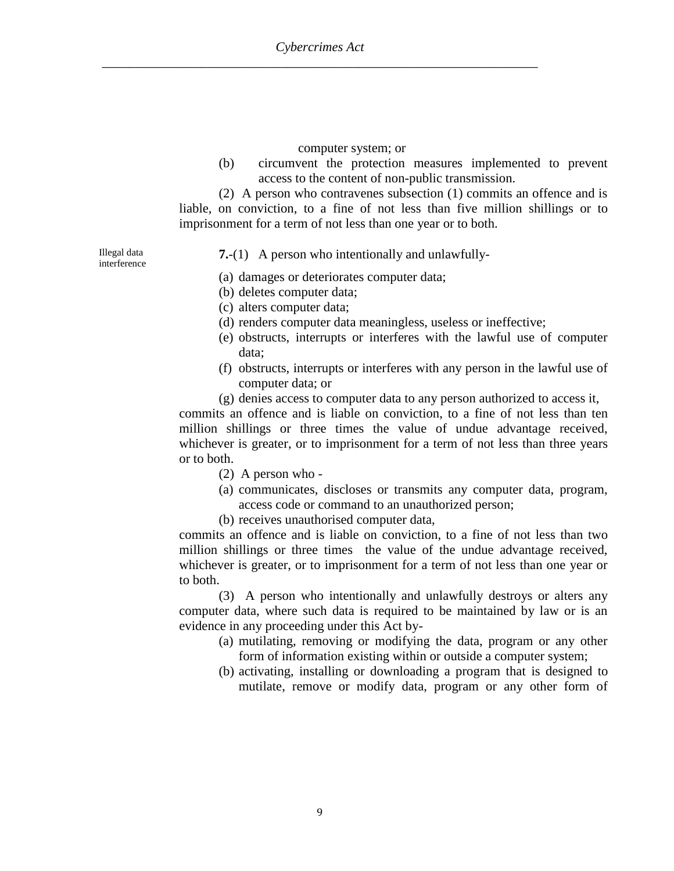#### computer system; or

(b) circumvent the protection measures implemented to prevent access to the content of non-public transmission.

(2) A person who contravenes subsection (1) commits an offence and is liable, on conviction, to a fine of not less than five million shillings or to imprisonment for a term of not less than one year or to both.

Illegal data interference **7.**-(1) A person who intentionally and unlawfully-

- (a) damages or deteriorates computer data;
- (b) deletes computer data;
- (c) alters computer data;
- (d) renders computer data meaningless, useless or ineffective;
- (e) obstructs, interrupts or interferes with the lawful use of computer data;
- (f) obstructs, interrupts or interferes with any person in the lawful use of computer data; or
- (g) denies access to computer data to any person authorized to access it,

commits an offence and is liable on conviction, to a fine of not less than ten million shillings or three times the value of undue advantage received, whichever is greater, or to imprisonment for a term of not less than three years or to both.

- (2) A person who -
- (a) communicates, discloses or transmits any computer data, program, access code or command to an unauthorized person;
- (b) receives unauthorised computer data,

commits an offence and is liable on conviction, to a fine of not less than two million shillings or three times the value of the undue advantage received, whichever is greater, or to imprisonment for a term of not less than one year or to both.

(3) A person who intentionally and unlawfully destroys or alters any computer data, where such data is required to be maintained by law or is an evidence in any proceeding under this Act by-

- (a) mutilating, removing or modifying the data, program or any other form of information existing within or outside a computer system;
- (b) activating, installing or downloading a program that is designed to mutilate, remove or modify data, program or any other form of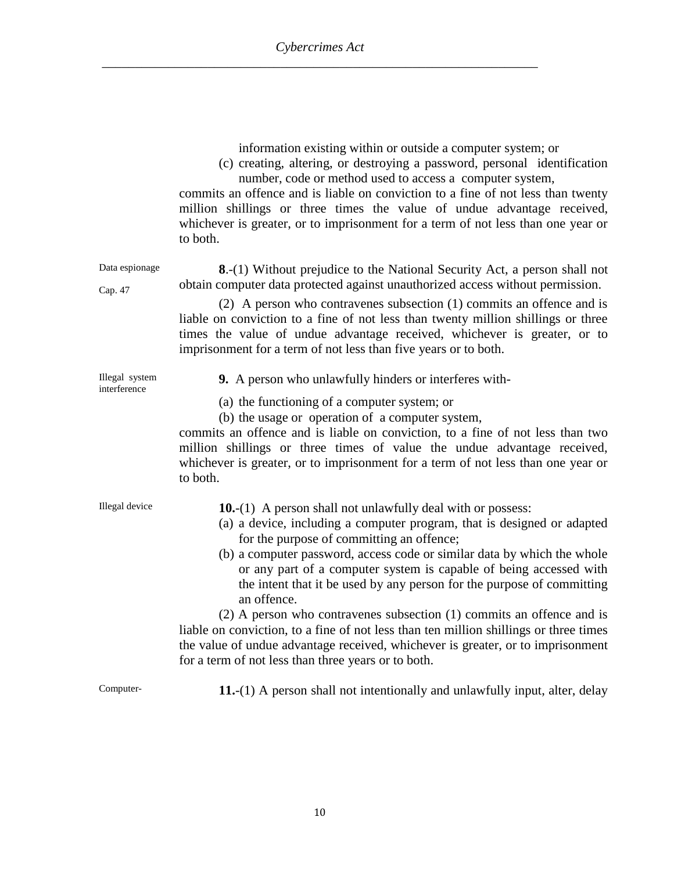| information existing within or outside a computer system; or |  |  |  |
|--------------------------------------------------------------|--|--|--|
|                                                              |  |  |  |

(c) creating, altering, or destroying a password, personal identification number, code or method used to access a computer system,

commits an offence and is liable on conviction to a fine of not less than twenty million shillings or three times the value of undue advantage received, whichever is greater, or to imprisonment for a term of not less than one year or to both.

Data espionage **8**.-(1) Without prejudice to the National Security Act, a person shall not obtain computer data protected against unauthorized access without permission.

> (2) A person who contravenes subsection (1) commits an offence and is liable on conviction to a fine of not less than twenty million shillings or three times the value of undue advantage received, whichever is greater, or to imprisonment for a term of not less than five years or to both.

|              | Illegal system |
|--------------|----------------|
| interference |                |

Cap. 47

- **9.** A person who unlawfully hinders or interferes with-
- (a) the functioning of a computer system; or
- (b) the usage or operation of a computer system,

commits an offence and is liable on conviction, to a fine of not less than two million shillings or three times of value the undue advantage received, whichever is greater, or to imprisonment for a term of not less than one year or to both.

| Illegal device | <b>10.</b> -(1) A person shall not unlawfully deal with or possess:                   |
|----------------|---------------------------------------------------------------------------------------|
|                | (a) a device, including a computer program, that is designed or adapted               |
|                | for the purpose of committing an offence;                                             |
|                | (b) a computer password, access code or similar data by which the whole               |
|                | or any part of a computer system is capable of being accessed with                    |
|                | the intent that it be used by any person for the purpose of committing<br>an offence. |
|                | $(2)$ A person who contravenes subsection $(1)$ commits an offence and is             |
|                | liable on conviction, to a fine of not less than ten million shillings or three times |
|                | the value of undue advantage received, whichever is greater, or to imprisonment       |
|                | for a term of not less than three years or to both.                                   |

Computer- **11.**-(1) A person shall not intentionally and unlawfully input, alter, delay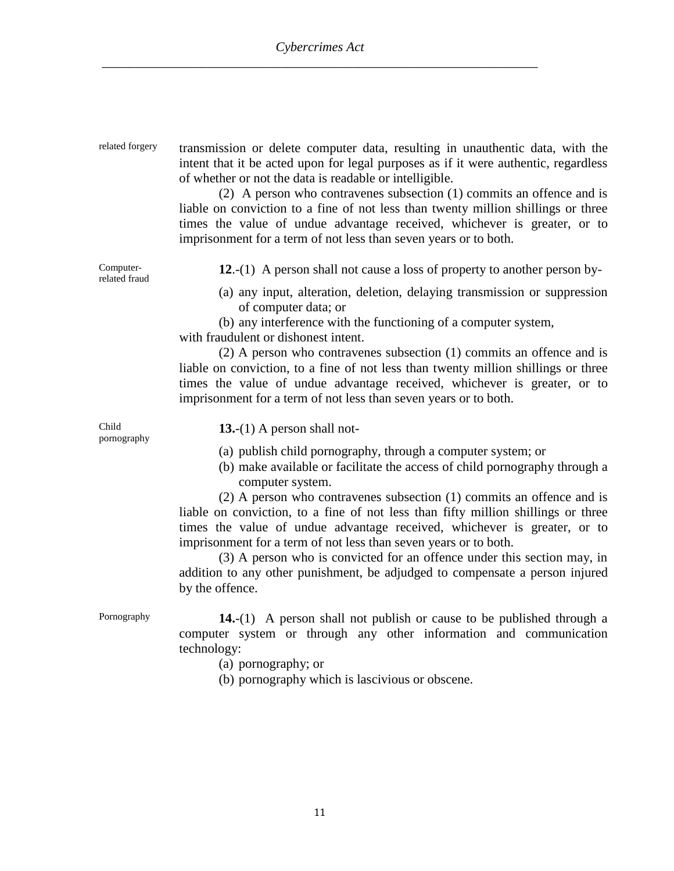| related forgery            | transmission or delete computer data, resulting in unauthentic data, with the<br>intent that it be acted upon for legal purposes as if it were authentic, regardless<br>of whether or not the data is readable or intelligible.<br>(2) A person who contravenes subsection (1) commits an offence and is<br>liable on conviction to a fine of not less than twenty million shillings or three<br>times the value of undue advantage received, whichever is greater, or to<br>imprisonment for a term of not less than seven years or to both.                                                                                                              |
|----------------------------|------------------------------------------------------------------------------------------------------------------------------------------------------------------------------------------------------------------------------------------------------------------------------------------------------------------------------------------------------------------------------------------------------------------------------------------------------------------------------------------------------------------------------------------------------------------------------------------------------------------------------------------------------------|
| Computer-<br>related fraud | 12.-(1) A person shall not cause a loss of property to another person by-                                                                                                                                                                                                                                                                                                                                                                                                                                                                                                                                                                                  |
|                            | (a) any input, alteration, deletion, delaying transmission or suppression<br>of computer data; or<br>(b) any interference with the functioning of a computer system,<br>with fraudulent or dishonest intent.<br>$(2)$ A person who contravenes subsection $(1)$ commits an offence and is<br>liable on conviction, to a fine of not less than twenty million shillings or three<br>times the value of undue advantage received, whichever is greater, or to<br>imprisonment for a term of not less than seven years or to both.                                                                                                                            |
| Child<br>pornography       | 13.-(1) A person shall not-                                                                                                                                                                                                                                                                                                                                                                                                                                                                                                                                                                                                                                |
|                            | (a) publish child pornography, through a computer system; or<br>(b) make available or facilitate the access of child pornography through a<br>computer system.<br>(2) A person who contravenes subsection (1) commits an offence and is<br>liable on conviction, to a fine of not less than fifty million shillings or three<br>times the value of undue advantage received, whichever is greater, or to<br>imprisonment for a term of not less than seven years or to both.<br>(3) A person who is convicted for an offence under this section may, in<br>addition to any other punishment, be adjudged to compensate a person injured<br>by the offence. |
| Pornography                | <b>14.</b> -(1) A person shall not publish or cause to be published through a<br>computer system or through any other information and communication<br>technology:                                                                                                                                                                                                                                                                                                                                                                                                                                                                                         |

- (a) pornography; or
- (b) pornography which is lascivious or obscene.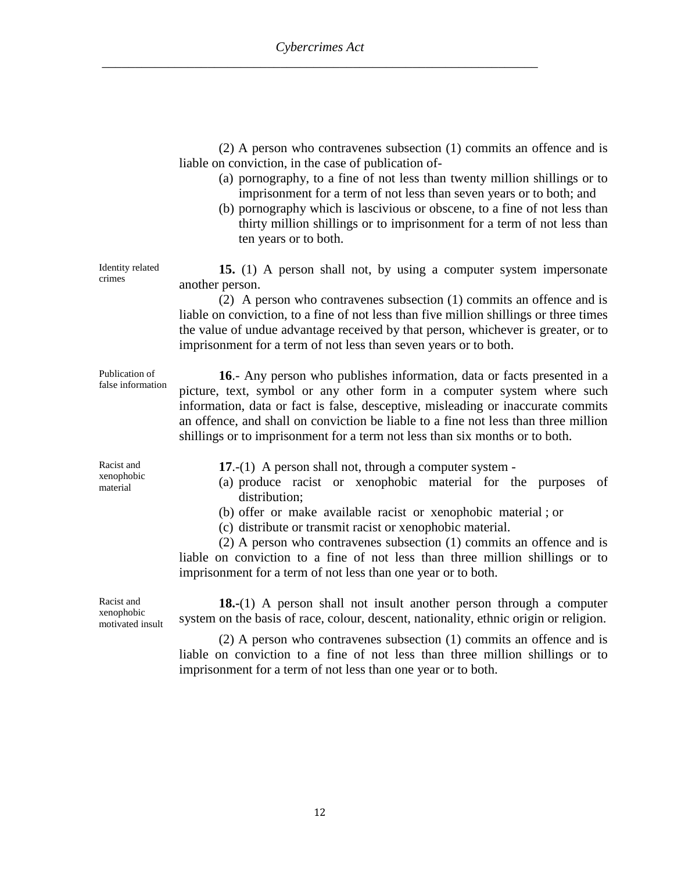|                                              | $(2)$ A person who contravenes subsection $(1)$ commits an offence and is<br>liable on conviction, in the case of publication of-<br>(a) pornography, to a fine of not less than twenty million shillings or to<br>imprisonment for a term of not less than seven years or to both; and<br>(b) pornography which is lascivious or obscene, to a fine of not less than<br>thirty million shillings or to imprisonment for a term of not less than<br>ten years or to both.                                  |
|----------------------------------------------|------------------------------------------------------------------------------------------------------------------------------------------------------------------------------------------------------------------------------------------------------------------------------------------------------------------------------------------------------------------------------------------------------------------------------------------------------------------------------------------------------------|
| Identity related<br>crimes                   | 15. (1) A person shall not, by using a computer system impersonate<br>another person.<br>(2) A person who contravenes subsection (1) commits an offence and is<br>liable on conviction, to a fine of not less than five million shillings or three times<br>the value of undue advantage received by that person, whichever is greater, or to<br>imprisonment for a term of not less than seven years or to both.                                                                                          |
| Publication of<br>false information          | 16.- Any person who publishes information, data or facts presented in a<br>picture, text, symbol or any other form in a computer system where such<br>information, data or fact is false, desceptive, misleading or inaccurate commits<br>an offence, and shall on conviction be liable to a fine not less than three million<br>shillings or to imprisonment for a term not less than six months or to both.                                                                                              |
| Racist and<br>xenophobic<br>material         | 17.- $(1)$ A person shall not, through a computer system -<br>(a) produce racist or xenophobic material for the purposes of<br>distribution;<br>(b) offer or make available racist or xenophobic material ; or<br>(c) distribute or transmit racist or xenophobic material.<br>$(2)$ A person who contravenes subsection $(1)$ commits an offence and is<br>liable on conviction to a fine of not less than three million shillings or to<br>imprisonment for a term of not less than one year or to both. |
| Racist and<br>xenophobic<br>motivated insult | 18.-(1) A person shall not insult another person through a computer<br>system on the basis of race, colour, descent, nationality, ethnic origin or religion.<br>$(2)$ A person who contravenes subsection $(1)$ commits an offence and is<br>liable on conviction to a fine of not less than three million shillings or to<br>imprisonment for a term of not less than one year or to both.                                                                                                                |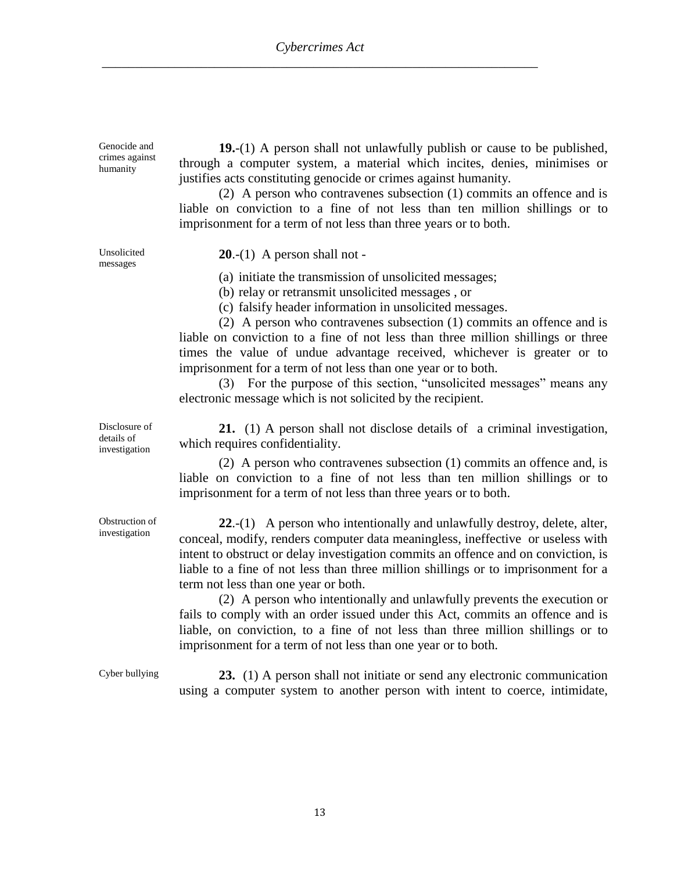Genocide and crimes against humanity

**19.**-(1) A person shall not unlawfully publish or cause to be published, through a computer system, a material which incites, denies, minimises or justifies acts constituting genocide or crimes against humanity.

(2) A person who contravenes subsection (1) commits an offence and is liable on conviction to a fine of not less than ten million shillings or to imprisonment for a term of not less than three years or to both.

Unsolicited messages

**20**.-(1) A person shall not -

(a) initiate the transmission of unsolicited messages;

(b) relay or retransmit unsolicited messages , or

(c) falsify header information in unsolicited messages.

(2) A person who contravenes subsection (1) commits an offence and is liable on conviction to a fine of not less than three million shillings or three times the value of undue advantage received, whichever is greater or to imprisonment for a term of not less than one year or to both.

(3) For the purpose of this section, "unsolicited messages" means any electronic message which is not solicited by the recipient.

**21.** (1) A person shall not disclose details of a criminal investigation, which requires confidentiality.

(2) A person who contravenes subsection (1) commits an offence and, is liable on conviction to a fine of not less than ten million shillings or to imprisonment for a term of not less than three years or to both.

**22**.-(1) A person who intentionally and unlawfully destroy, delete, alter, conceal, modify, renders computer data meaningless, ineffective or useless with intent to obstruct or delay investigation commits an offence and on conviction, is liable to a fine of not less than three million shillings or to imprisonment for a term not less than one year or both.

(2) A person who intentionally and unlawfully prevents the execution or fails to comply with an order issued under this Act, commits an offence and is liable, on conviction, to a fine of not less than three million shillings or to imprisonment for a term of not less than one year or to both.

Cyber bullying **23.** (1) A person shall not initiate or send any electronic communication using a computer system to another person with intent to coerce, intimidate,

Disclosure of details of investigation

Obstruction of investigation

13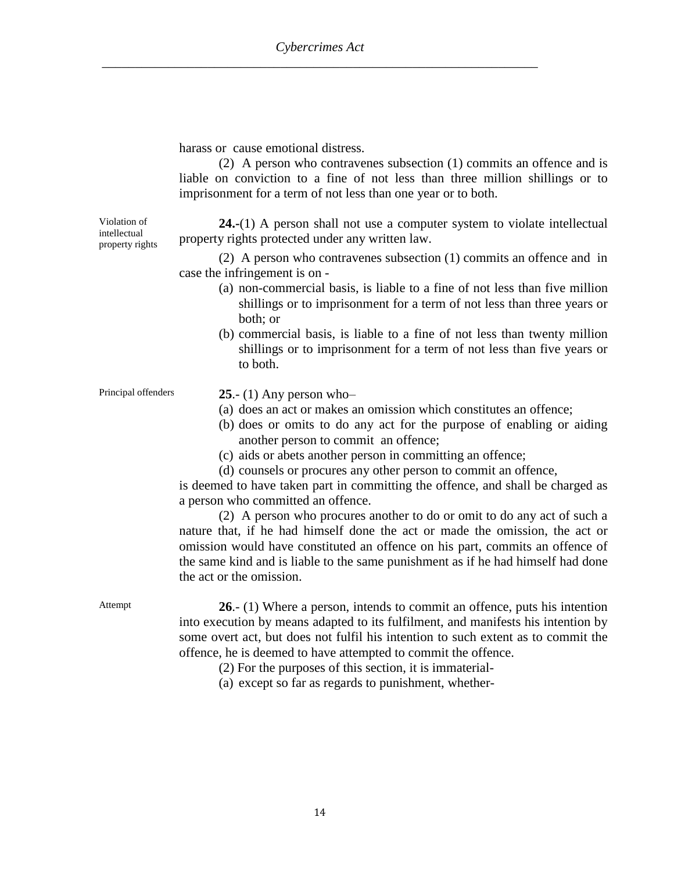harass or cause emotional distress.

(2) A person who contravenes subsection (1) commits an offence and is liable on conviction to a fine of not less than three million shillings or to imprisonment for a term of not less than one year or to both.

Violation of intellectual property rights

**24.-**(1) A person shall not use a computer system to violate intellectual property rights protected under any written law.

(2) A person who contravenes subsection (1) commits an offence and in case the infringement is on -

- (a) non-commercial basis, is liable to a fine of not less than five million shillings or to imprisonment for a term of not less than three years or both; or
- (b) commercial basis, is liable to a fine of not less than twenty million shillings or to imprisonment for a term of not less than five years or to both.

Principal offenders **25.**- (1) Any person who-

- (a) does an act or makes an omission which constitutes an offence;
- (b) does or omits to do any act for the purpose of enabling or aiding another person to commit an offence;
- (c) aids or abets another person in committing an offence;
- (d) counsels or procures any other person to commit an offence,

is deemed to have taken part in committing the offence, and shall be charged as a person who committed an offence.

(2) A person who procures another to do or omit to do any act of such a nature that, if he had himself done the act or made the omission, the act or omission would have constituted an offence on his part, commits an offence of the same kind and is liable to the same punishment as if he had himself had done the act or the omission.

Attempt **26**.- (1) Where a person, intends to commit an offence, puts his intention into execution by means adapted to its fulfilment, and manifests his intention by some overt act, but does not fulfil his intention to such extent as to commit the offence, he is deemed to have attempted to commit the offence.

(2) For the purposes of this section, it is immaterial-

(a) except so far as regards to punishment, whether-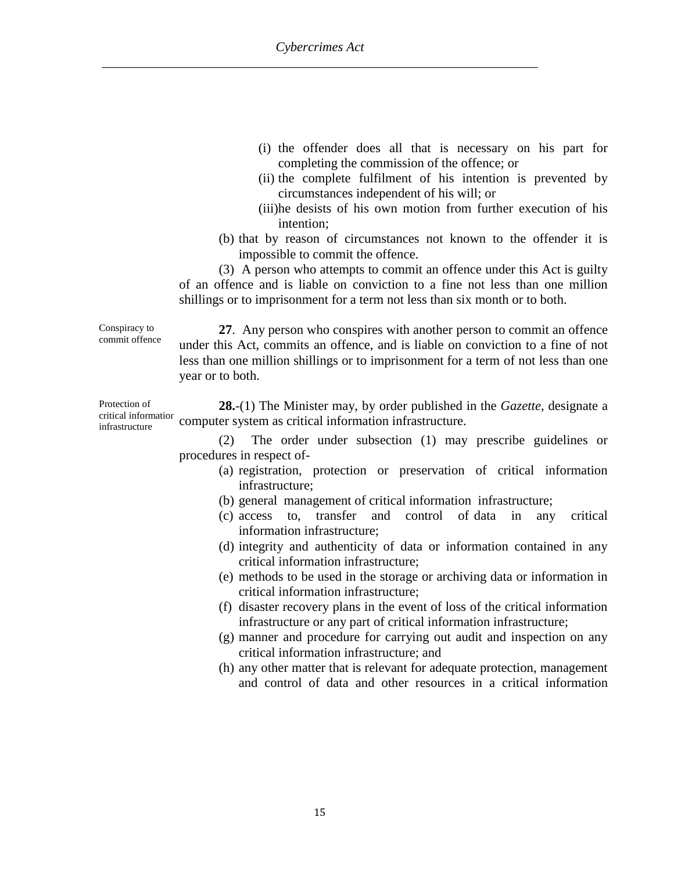- (i) the offender does all that is necessary on his part for completing the commission of the offence; or
- (ii) the complete fulfilment of his intention is prevented by circumstances independent of his will; or
- (iii)he desists of his own motion from further execution of his intention;
- (b) that by reason of circumstances not known to the offender it is impossible to commit the offence.

(3) A person who attempts to commit an offence under this Act is guilty of an offence and is liable on conviction to a fine not less than one million shillings or to imprisonment for a term not less than six month or to both.

Conspiracy to commit offence **27**. Any person who conspires with another person to commit an offence under this Act, commits an offence, and is liable on conviction to a fine of not less than one million shillings or to imprisonment for a term of not less than one year or to both.

Protection of critical information infrastructure **28.**-(1) The Minister may, by order published in the *Gazette*, designate a computer system as critical information infrastructure.

> (2) The order under subsection (1) may prescribe guidelines or procedures in respect of-

- (a) registration, protection or preservation of critical information infrastructure;
- (b) general management of critical information infrastructure;
- (c) access to, transfer and control of data in any critical information infrastructure;
- (d) integrity and authenticity of data or information contained in any critical information infrastructure;
- (e) methods to be used in the storage or archiving data or information in critical information infrastructure;
- (f) disaster recovery plans in the event of loss of the critical information infrastructure or any part of critical information infrastructure;
- (g) manner and procedure for carrying out audit and inspection on any critical information infrastructure; and
- (h) any other matter that is relevant for adequate protection, management and control of data and other resources in a critical information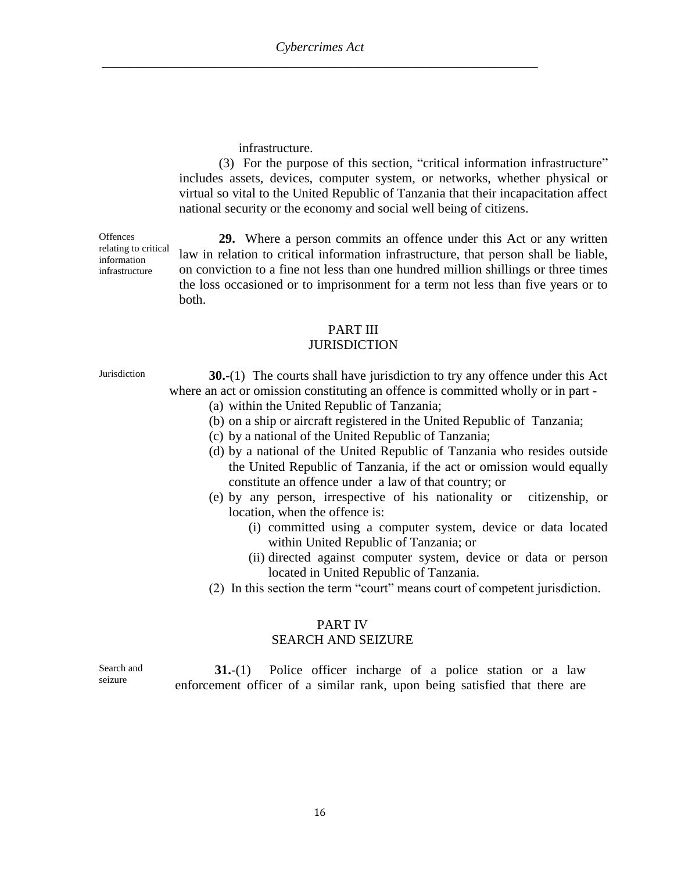infrastructure.

(3) For the purpose of this section, "critical information infrastructure" includes assets, devices, computer system, or networks, whether physical or virtual so vital to the United Republic of Tanzania that their incapacitation affect national security or the economy and social well being of citizens.

**Offences** relating to critical information infrastructure

**29.** Where a person commits an offence under this Act or any written law in relation to critical information infrastructure, that person shall be liable, on conviction to a fine not less than one hundred million shillings or three times the loss occasioned or to imprisonment for a term not less than five years or to both.

## PART III

#### **JURISDICTION**

Jurisdiction **30.**-(1) The courts shall have jurisdiction to try any offence under this Act where an act or omission constituting an offence is committed wholly or in part -

- (a) within the United Republic of Tanzania;
- (b) on a ship or aircraft registered in the United Republic of Tanzania;
- (c) by a national of the United Republic of Tanzania;
- (d) by a national of the United Republic of Tanzania who resides outside the United Republic of Tanzania, if the act or omission would equally constitute an offence under a law of that country; or
- (e) by any person, irrespective of his nationality or citizenship, or location, when the offence is:
	- (i) committed using a computer system, device or data located within United Republic of Tanzania; or
	- (ii) directed against computer system, device or data or person located in United Republic of Tanzania.
- (2) In this section the term "court" means court of competent jurisdiction.

#### PART IV SEARCH AND SEIZURE

**31.**-(1) Police officer incharge of a police station or a law enforcement officer of a similar rank, upon being satisfied that there are

Search and seizure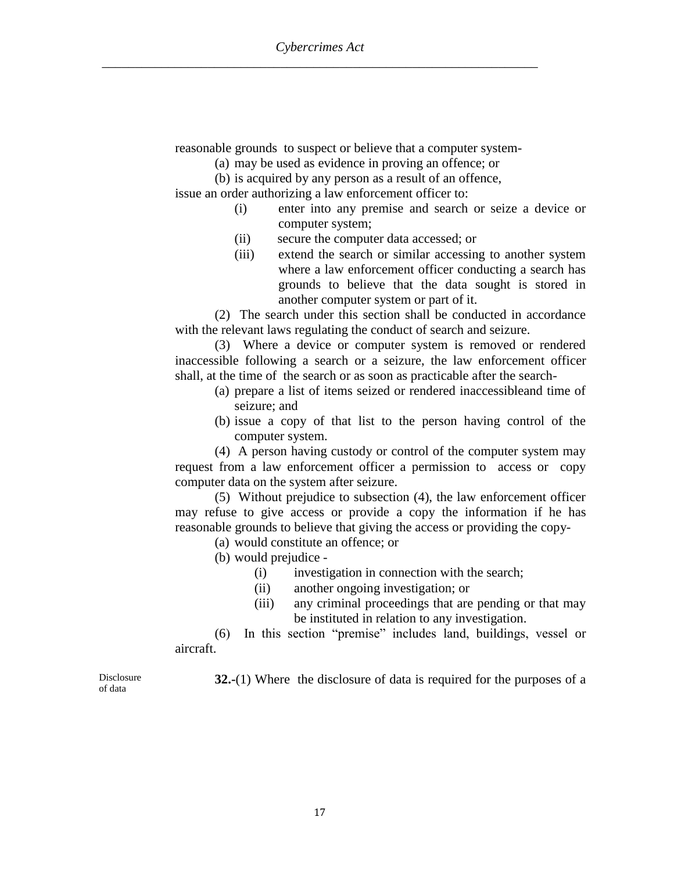reasonable grounds to suspect or believe that a computer system-

(a) may be used as evidence in proving an offence; or

(b) is acquired by any person as a result of an offence,

issue an order authorizing a law enforcement officer to:

- (i) enter into any premise and search or seize a device or computer system;
- (ii) secure the computer data accessed; or
- (iii) extend the search or similar accessing to another system where a law enforcement officer conducting a search has grounds to believe that the data sought is stored in another computer system or part of it.

(2) The search under this section shall be conducted in accordance with the relevant laws regulating the conduct of search and seizure.

(3) Where a device or computer system is removed or rendered inaccessible following a search or a seizure, the law enforcement officer shall, at the time of the search or as soon as practicable after the search-

- (a) prepare a list of items seized or rendered inaccessibleand time of seizure; and
- (b) issue a copy of that list to the person having control of the computer system.

(4) A person having custody or control of the computer system may request from a law enforcement officer a permission to access or copy computer data on the system after seizure.

(5) Without prejudice to subsection (4), the law enforcement officer may refuse to give access or provide a copy the information if he has reasonable grounds to believe that giving the access or providing the copy-

(a) would constitute an offence; or

(b) would prejudice -

- (i) investigation in connection with the search;
- (ii) another ongoing investigation; or
- (iii) any criminal proceedings that are pending or that may be instituted in relation to any investigation.

(6) In this section "premise" includes land, buildings, vessel or aircraft.

**32.-**(1) Where the disclosure of data is required for the purposes of a

Disclosure of data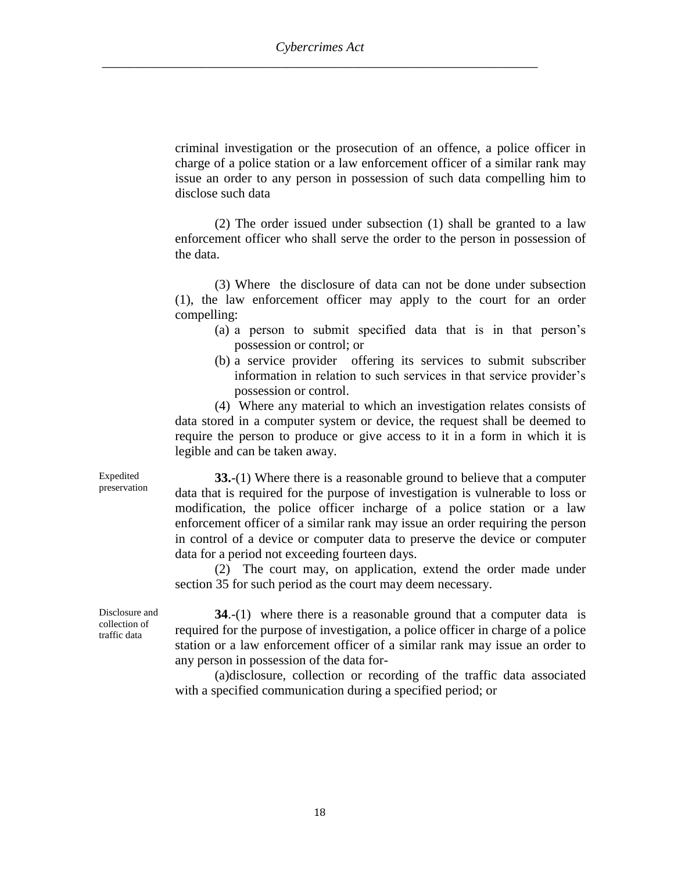criminal investigation or the prosecution of an offence, a police officer in charge of a police station or a law enforcement officer of a similar rank may issue an order to any person in possession of such data compelling him to disclose such data

(2) The order issued under subsection (1) shall be granted to a law enforcement officer who shall serve the order to the person in possession of the data.

(3) Where the disclosure of data can not be done under subsection (1), the law enforcement officer may apply to the court for an order compelling:

- (a) a person to submit specified data that is in that person's possession or control; or
- (b) a service provider offering its services to submit subscriber information in relation to such services in that service provider's possession or control.

(4) Where any material to which an investigation relates consists of data stored in a computer system or device, the request shall be deemed to require the person to produce or give access to it in a form in which it is legible and can be taken away.

**33.**-(1) Where there is a reasonable ground to believe that a computer data that is required for the purpose of investigation is vulnerable to loss or modification, the police officer incharge of a police station or a law enforcement officer of a similar rank may issue an order requiring the person in control of a device or computer data to preserve the device or computer data for a period not exceeding fourteen days.

(2) The court may, on application, extend the order made under section 35 for such period as the court may deem necessary.

Disclosure and collection of traffic data

Expedited preservation

> **34**.-(1)where there is a reasonable ground that a computer datais required for the purpose of investigation, a police officer in charge of a police station or a law enforcement officer of a similar rank may issue an order to any person in possession of the data for-

> (a)disclosure, collection or recording of the traffic data associated with a specified communication during a specified period; or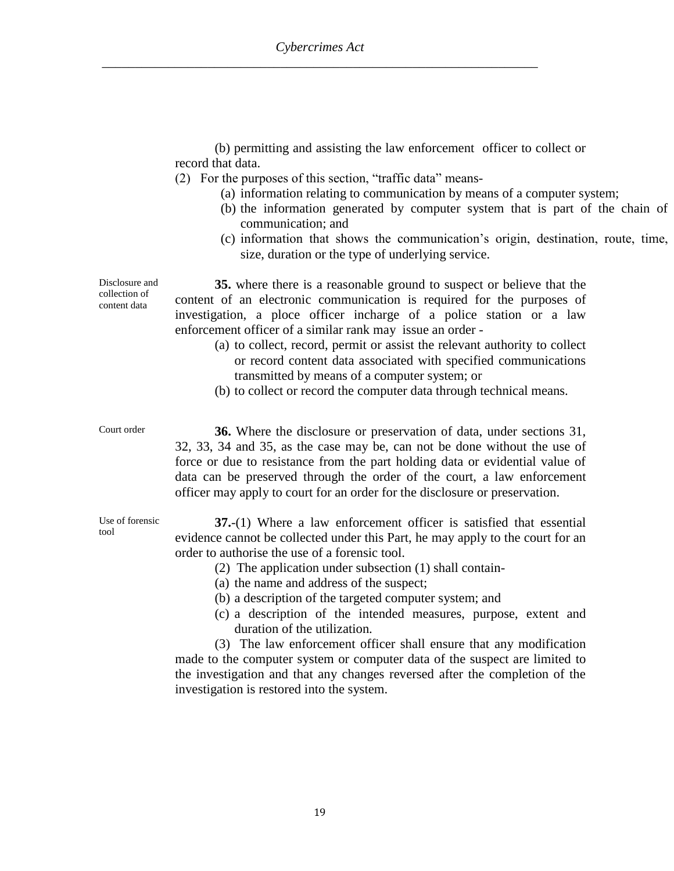(b) permitting and assisting the law enforcement officer to collect or record that data.

- (2) For the purposes of this section, "traffic data" means-
	- (a) information relating to communication by means of a computer system;
	- (b) the information generated by computer system that is part of the chain of communication; and
	- (c) information that shows the communication's origin, destination, route, time, size, duration or the type of underlying service.

**35.** where there is a reasonable ground to suspect or believe that the content of an electronic communication is required for the purposes of investigation, a ploce officer incharge of a police station or a law enforcement officer of a similar rank may issue an order -

- (a) to collect, record, permit or assist the relevant authority to collect or record content data associated with specified communications transmitted by means of a computer system; or
- (b) to collect or record the computer data through technical means.

Court order **36.** Where the disclosure or preservation of data, under sections 31, 32, 33, 34 and 35, as the case may be, can not be done without the use of force or due to resistance from the part holding data or evidential value of data can be preserved through the order of the court, a law enforcement officer may apply to court for an order for the disclosure or preservation.

> **37.**-(1) Where a law enforcement officer is satisfied that essential evidence cannot be collected under this Part, he may apply to the court for an order to authorise the use of a forensic tool.

- (2) The application under subsection (1) shall contain-
- (a) the name and address of the suspect;
- (b) a description of the targeted computer system; and
- (c) a description of the intended measures, purpose, extent and duration of the utilization.

(3) The law enforcement officer shall ensure that any modification made to the computer system or computer data of the suspect are limited to the investigation and that any changes reversed after the completion of the investigation is restored into the system.

Disclosure and collection of content data

Use of forensic

tool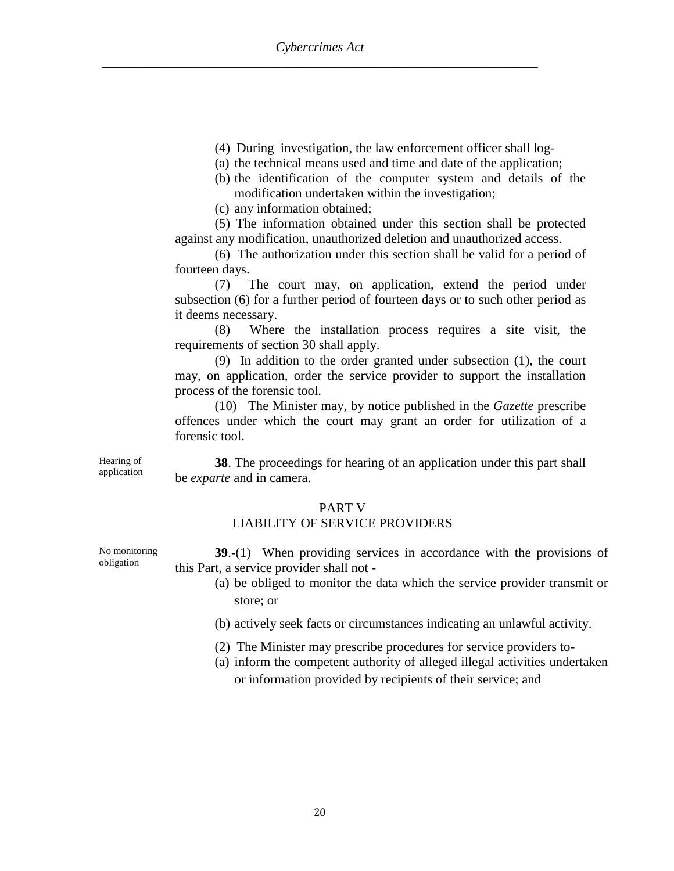- (4) During investigation, the law enforcement officer shall log-
- (a) the technical means used and time and date of the application;
- (b) the identification of the computer system and details of the modification undertaken within the investigation;
- (c) any information obtained;

(5) The information obtained under this section shall be protected against any modification, unauthorized deletion and unauthorized access.

(6) The authorization under this section shall be valid for a period of fourteen days.

(7) The court may, on application, extend the period under subsection (6) for a further period of fourteen days or to such other period as it deems necessary.

(8) Where the installation process requires a site visit, the requirements of section 30 shall apply.

(9) In addition to the order granted under subsection (1), the court may, on application, order the service provider to support the installation process of the forensic tool.

(10) The Minister may, by notice published in the *Gazette* prescribe offences under which the court may grant an order for utilization of a forensic tool.

Hearing of application

**38**. The proceedings for hearing of an application under this part shall be *exparte* and in camera.

#### PART V

#### LIABILITY OF SERVICE PROVIDERS

**39**.-(1) When providing services in accordance with the provisions of this Part, a service provider shall not -

- (a) be obliged to monitor the data which the service provider transmit or store; or
- (b) actively seek facts or circumstances indicating an unlawful activity.
- (2) The Minister may prescribe procedures for service providers to-
- (a) inform the competent authority of alleged illegal activities undertaken or information provided by recipients of their service; and

No monitoring obligation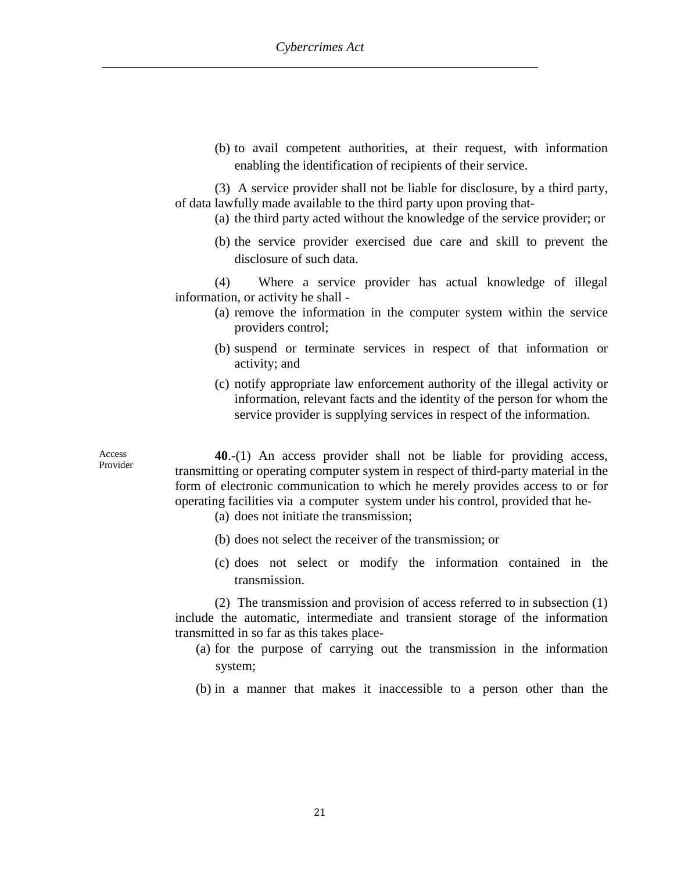(b) to avail competent authorities, at their request, with information enabling the identification of recipients of their service.

(3) A service provider shall not be liable for disclosure, by a third party, of data lawfully made available to the third party upon proving that-

- (a) the third party acted without the knowledge of the service provider; or
- (b) the service provider exercised due care and skill to prevent the disclosure of such data.

(4) Where a service provider has actual knowledge of illegal information, or activity he shall -

- (a) remove the information in the computer system within the service providers control;
- (b) suspend or terminate services in respect of that information or activity; and
- (c) notify appropriate law enforcement authority of the illegal activity or information, relevant facts and the identity of the person for whom the service provider is supplying services in respect of the information.

Access Provider

**40**.-(1) An access provider shall not be liable for providing access, transmitting or operating computer system in respect of third-party material in the form of electronic communication to which he merely provides access to or for operating facilities via a computer system under his control, provided that he-

- (a) does not initiate the transmission;
- (b) does not select the receiver of the transmission; or
- (c) does not select or modify the information contained in the transmission.

(2) The transmission and provision of access referred to in subsection (1) include the automatic, intermediate and transient storage of the information transmitted in so far as this takes place-

- (a) for the purpose of carrying out the transmission in the information system;
- (b) in a manner that makes it inaccessible to a person other than the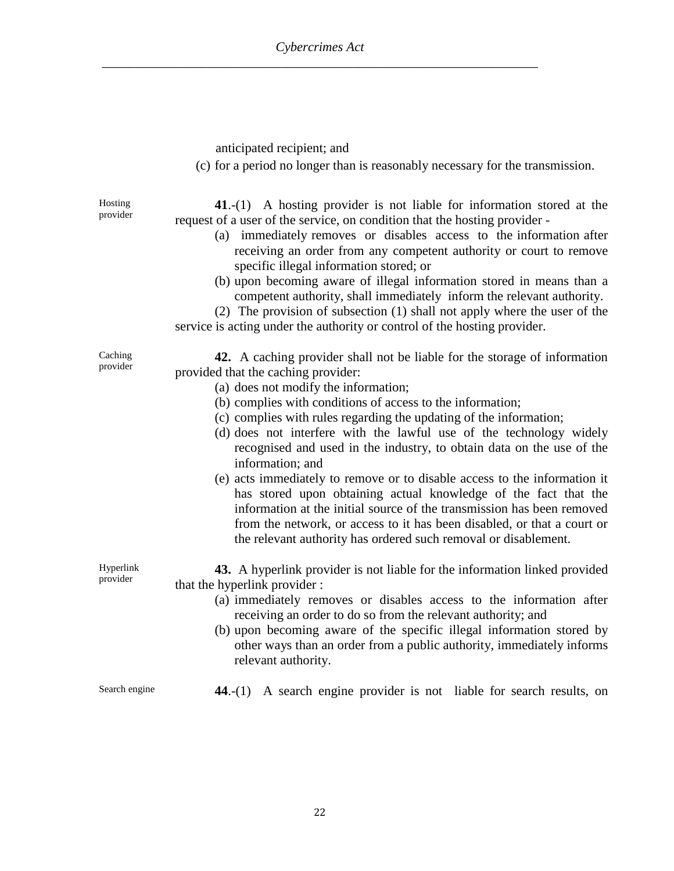|                       | anticipated recipient; and<br>(c) for a period no longer than is reasonably necessary for the transmission.                                                                                                                                                                                                                                                                                                                                                                                                                                                                                                                                                                                                                                                                                                                              |
|-----------------------|------------------------------------------------------------------------------------------------------------------------------------------------------------------------------------------------------------------------------------------------------------------------------------------------------------------------------------------------------------------------------------------------------------------------------------------------------------------------------------------------------------------------------------------------------------------------------------------------------------------------------------------------------------------------------------------------------------------------------------------------------------------------------------------------------------------------------------------|
| Hosting<br>provider   | $41-(1)$ A hosting provider is not liable for information stored at the<br>request of a user of the service, on condition that the hosting provider -<br>(a) immediately removes or disables access to the information after<br>receiving an order from any competent authority or court to remove<br>specific illegal information stored; or<br>(b) upon becoming aware of illegal information stored in means than a<br>competent authority, shall immediately inform the relevant authority.<br>(2) The provision of subsection (1) shall not apply where the user of the<br>service is acting under the authority or control of the hosting provider.                                                                                                                                                                                |
| Caching<br>provider   | 42. A caching provider shall not be liable for the storage of information<br>provided that the caching provider:<br>(a) does not modify the information;<br>(b) complies with conditions of access to the information;<br>(c) complies with rules regarding the updating of the information;<br>(d) does not interfere with the lawful use of the technology widely<br>recognised and used in the industry, to obtain data on the use of the<br>information; and<br>(e) acts immediately to remove or to disable access to the information it<br>has stored upon obtaining actual knowledge of the fact that the<br>information at the initial source of the transmission has been removed<br>from the network, or access to it has been disabled, or that a court or<br>the relevant authority has ordered such removal or disablement. |
| Hyperlink<br>provider | 43. A hyperlink provider is not liable for the information linked provided<br>that the hyperlink provider :<br>(a) immediately removes or disables access to the information after<br>receiving an order to do so from the relevant authority; and<br>(b) upon becoming aware of the specific illegal information stored by<br>other ways than an order from a public authority, immediately informs<br>relevant authority.                                                                                                                                                                                                                                                                                                                                                                                                              |
| Search engine         | A search engine provider is not liable for search results, on<br>44.- $(1)$                                                                                                                                                                                                                                                                                                                                                                                                                                                                                                                                                                                                                                                                                                                                                              |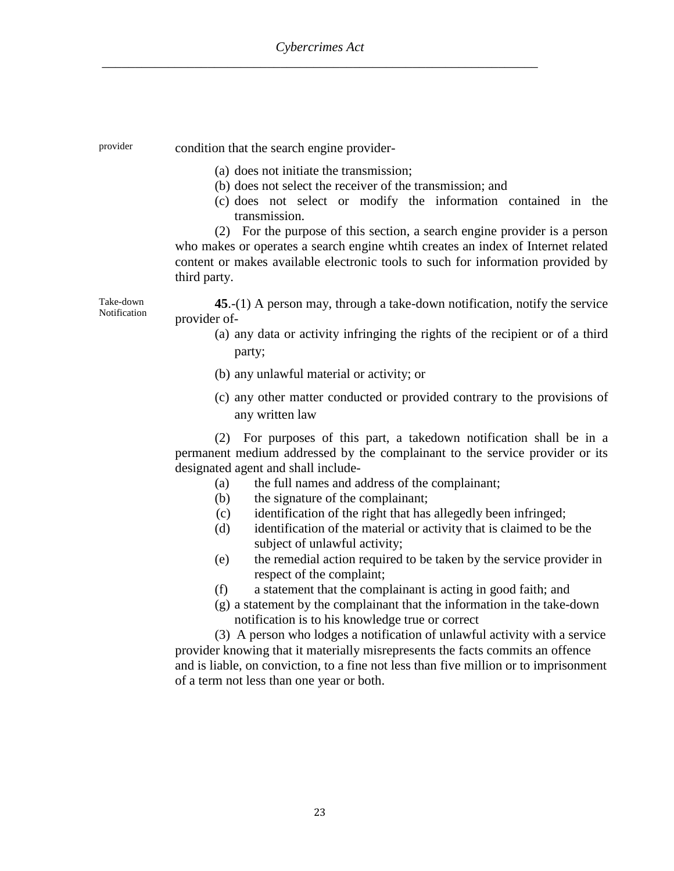Take-down

provider condition that the search engine provider-

- (a) does not initiate the transmission;
- (b) does not select the receiver of the transmission; and
- (c) does not select or modify the information contained in the transmission.

(2) For the purpose of this section, a search engine provider is a person who makes or operates a search engine whtih creates an index of Internet related content or makes available electronic tools to such for information provided by third party.

**Notification 45**.-(1) A person may, through a take-down notification, notify the service provider of-

- (a) any data or activity infringing the rights of the recipient or of a third party;
- (b) any unlawful material or activity; or
- (c) any other matter conducted or provided contrary to the provisions of any written law

(2) For purposes of this part, a takedown notification shall be in a permanent medium addressed by the complainant to the service provider or its designated agent and shall include-

- (a) the full names and address of the complainant;
- (b) the signature of the complainant;
- (c) identification of the right that has allegedly been infringed;
- (d) identification of the material or activity that is claimed to be the subject of unlawful activity;
- (e) the remedial action required to be taken by the service provider in respect of the complaint;
- (f) a statement that the complainant is acting in good faith; and
- (g) a statement by the complainant that the information in the take-down notification is to his knowledge true or correct

(3) A person who lodges a notification of unlawful activity with a service provider knowing that it materially misrepresents the facts commits an offence and is liable, on conviction, to a fine not less than five million or to imprisonment of a term not less than one year or both.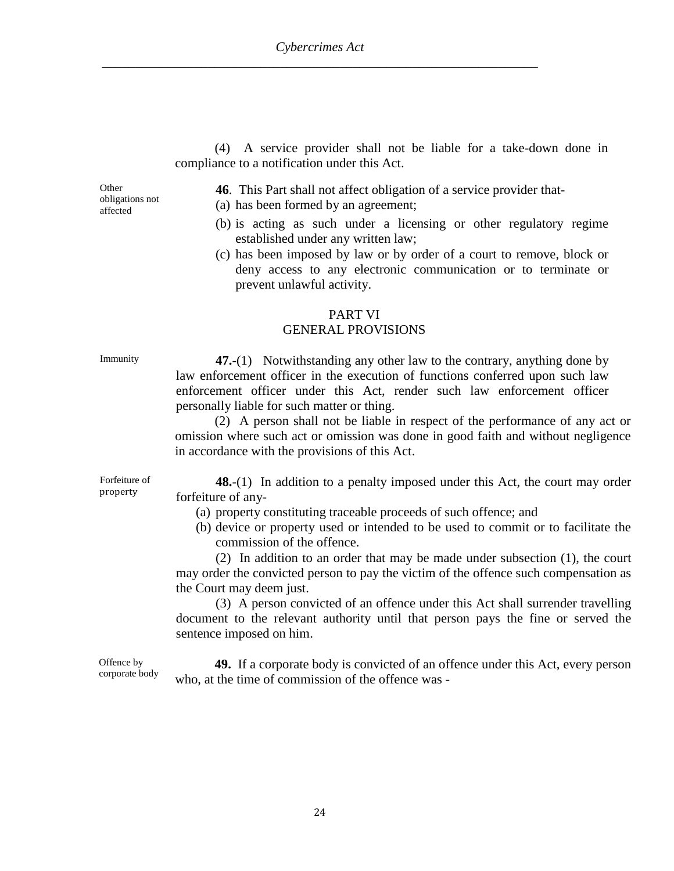(4) A service provider shall not be liable for a take-down done in compliance to a notification under this Act.

**Other** obligations not affected

**46**. This Part shall not affect obligation of a service provider that-

- (a) has been formed by an agreement;
- (b) is acting as such under a licensing or other regulatory regime established under any written law;
- (c) has been imposed by law or by order of a court to remove, block or deny access to any electronic communication or to terminate or prevent unlawful activity.

#### PART VI

#### GENERAL PROVISIONS

Immunity **47.**-(1) Notwithstanding any other law to the contrary, anything done by law enforcement officer in the execution of functions conferred upon such law enforcement officer under this Act, render such law enforcement officer personally liable for such matter or thing.

> (2) A person shall not be liable in respect of the performance of any act or omission where such act or omission was done in good faith and without negligence in accordance with the provisions of this Act.

Forfeiture of property

**48.**-(1) In addition to a penalty imposed under this Act, the court may order forfeiture of any-

- (a) property constituting traceable proceeds of such offence; and
- (b) device or property used or intended to be used to commit or to facilitate the commission of the offence.

(2) In addition to an order that may be made under subsection (1), the court may order the convicted person to pay the victim of the offence such compensation as the Court may deem just.

(3) A person convicted of an offence under this Act shall surrender travelling document to the relevant authority until that person pays the fine or served the sentence imposed on him.

Offence by corporate body

**49.** If a corporate body is convicted of an offence under this Act, every person who, at the time of commission of the offence was -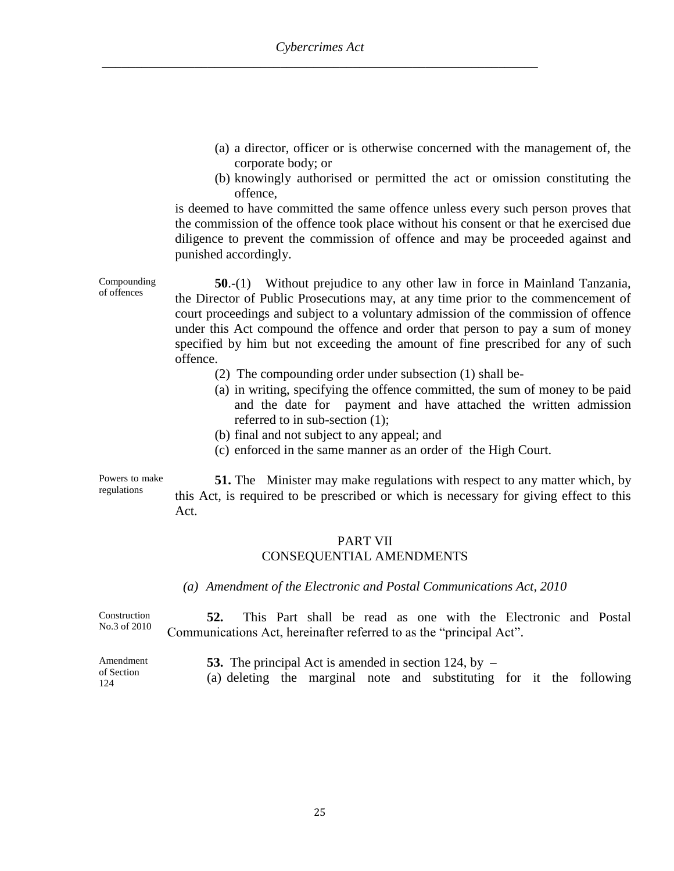- (a) a director, officer or is otherwise concerned with the management of, the corporate body; or
- (b) knowingly authorised or permitted the act or omission constituting the offence,

is deemed to have committed the same offence unless every such person proves that the commission of the offence took place without his consent or that he exercised due diligence to prevent the commission of offence and may be proceeded against and punished accordingly.

**50**.-(1)Without prejudice to any other law in force in Mainland Tanzania, the Director of Public Prosecutions may, at any time prior to the commencement of court proceedings and subject to a voluntary admission of the commission of offence under this Act compound the offence and order that person to pay a sum of money specified by him but not exceeding the amount of fine prescribed for any of such offence.

- (2) The compounding order under subsection (1) shall be-
- (a) in writing, specifying the offence committed, the sum of money to be paid and the date for payment and have attached the written admission referred to in sub-section (1);
- (b) final and not subject to any appeal; and
- (c) enforced in the same manner as an order of the High Court.

Powers to make regulations

Compounding of offences

> **51.** The Minister may make regulations with respect to any matter which, by this Act, is required to be prescribed or which is necessary for giving effect to this Act.

#### PART VII

#### CONSEQUENTIAL AMENDMENTS

*(a) Amendment of the Electronic and Postal Communications Act, 2010*

Construction No.3 of 2010 **52.** This Part shall be read as one with the Electronic and Postal Communications Act, hereinafter referred to as the "principal Act".

Amendment of Section 124 **53.** The principal Act is amended in section 124, by – (a) deleting the marginal note and substituting for it the following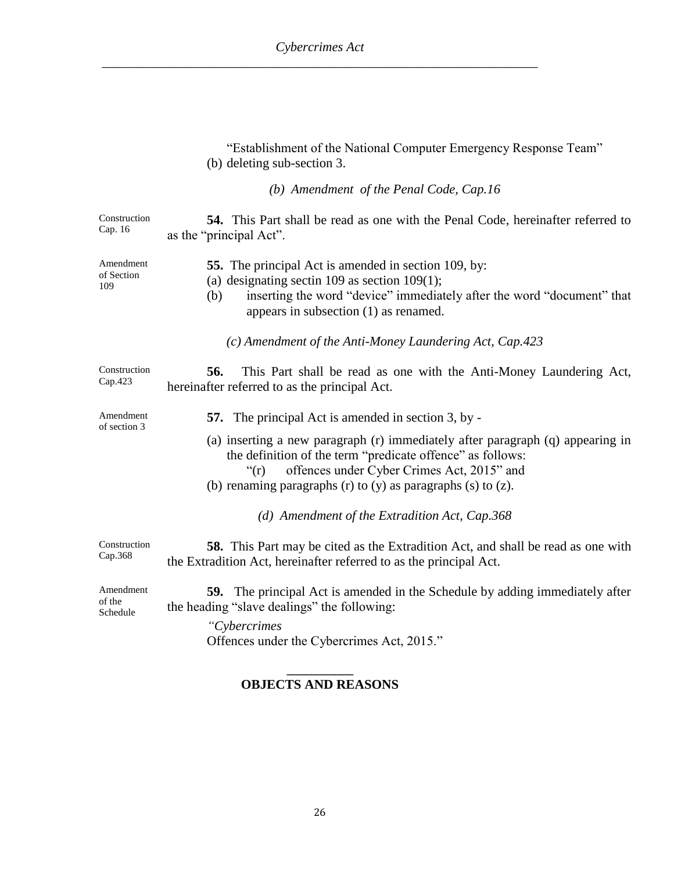|                                 | "Establishment of the National Computer Emergency Response Team"<br>(b) deleting sub-section 3.                                                                                                                                                                        |
|---------------------------------|------------------------------------------------------------------------------------------------------------------------------------------------------------------------------------------------------------------------------------------------------------------------|
|                                 | (b) Amendment of the Penal Code, Cap.16                                                                                                                                                                                                                                |
| Construction<br>Cap. 16         | <b>54.</b> This Part shall be read as one with the Penal Code, hereinafter referred to<br>as the "principal Act".                                                                                                                                                      |
| Amendment<br>of Section<br>109  | <b>55.</b> The principal Act is amended in section 109, by:<br>(a) designating section 109 as section 109(1);<br>inserting the word "device" immediately after the word "document" that<br>(b)<br>appears in subsection $(1)$ as renamed.                              |
|                                 | (c) Amendment of the Anti-Money Laundering Act, Cap.423                                                                                                                                                                                                                |
| Construction<br>Cap.423         | 56.<br>This Part shall be read as one with the Anti-Money Laundering Act,<br>hereinafter referred to as the principal Act.                                                                                                                                             |
| Amendment<br>of section 3       | <b>57.</b> The principal Act is amended in section 3, by -                                                                                                                                                                                                             |
|                                 | (a) inserting a new paragraph (r) immediately after paragraph (q) appearing in<br>the definition of the term "predicate offence" as follows:<br>offences under Cyber Crimes Act, 2015" and<br>f'(r)<br>(b) renaming paragraphs (r) to (y) as paragraphs (s) to $(z)$ . |
|                                 | (d) Amendment of the Extradition Act, Cap.368                                                                                                                                                                                                                          |
| Construction<br>Cap.368         | <b>58.</b> This Part may be cited as the Extradition Act, and shall be read as one with<br>the Extradition Act, hereinafter referred to as the principal Act.                                                                                                          |
| Amendment<br>of the<br>Schedule | 59. The principal Act is amended in the Schedule by adding immediately after<br>the heading "slave dealings" the following:                                                                                                                                            |
|                                 | "Cybercrimes<br>Offences under the Cybercrimes Act, 2015."                                                                                                                                                                                                             |

#### **\_\_\_\_\_\_\_\_\_\_\_ OBJECTS AND REASONS**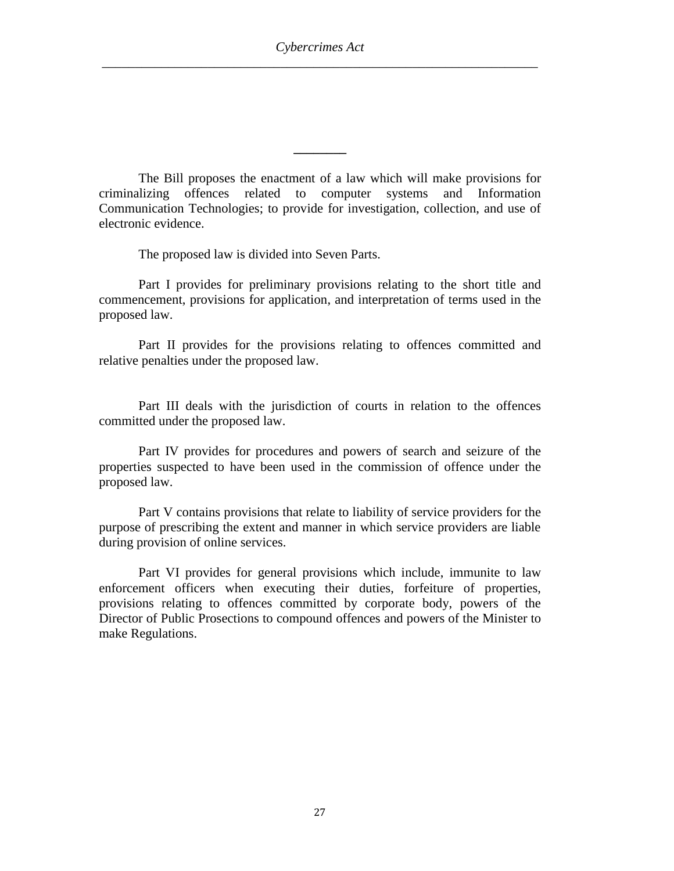The Bill proposes the enactment of a law which will make provisions for criminalizing offences related to computer systems and Information Communication Technologies; to provide for investigation, collection, and use of electronic evidence.

**\_\_\_\_\_\_\_\_**

The proposed law is divided into Seven Parts.

Part I provides for preliminary provisions relating to the short title and commencement, provisions for application, and interpretation of terms used in the proposed law.

Part II provides for the provisions relating to offences committed and relative penalties under the proposed law.

Part III deals with the jurisdiction of courts in relation to the offences committed under the proposed law.

Part IV provides for procedures and powers of search and seizure of the properties suspected to have been used in the commission of offence under the proposed law.

Part V contains provisions that relate to liability of service providers for the purpose of prescribing the extent and manner in which service providers are liable during provision of online services.

Part VI provides for general provisions which include, immunite to law enforcement officers when executing their duties, forfeiture of properties, provisions relating to offences committed by corporate body, powers of the Director of Public Prosections to compound offences and powers of the Minister to make Regulations.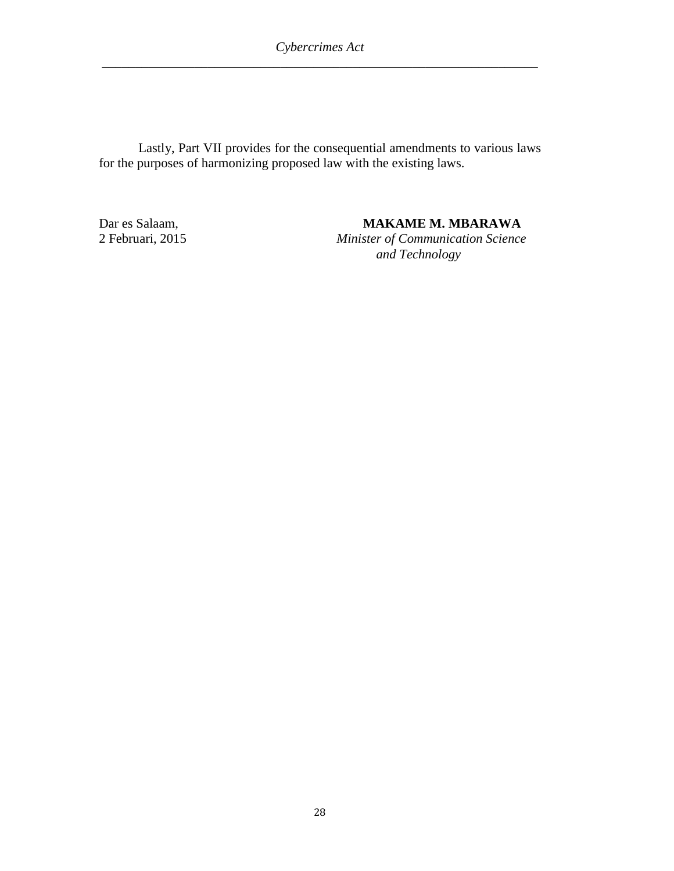Lastly, Part VII provides for the consequential amendments to various laws for the purposes of harmonizing proposed law with the existing laws.

Dar es Salaam, **MAKAME M. MBARAWA**<br>2 Februari, 2015 Minister of Communication Science

**Minister of Communication Science** *and Technology*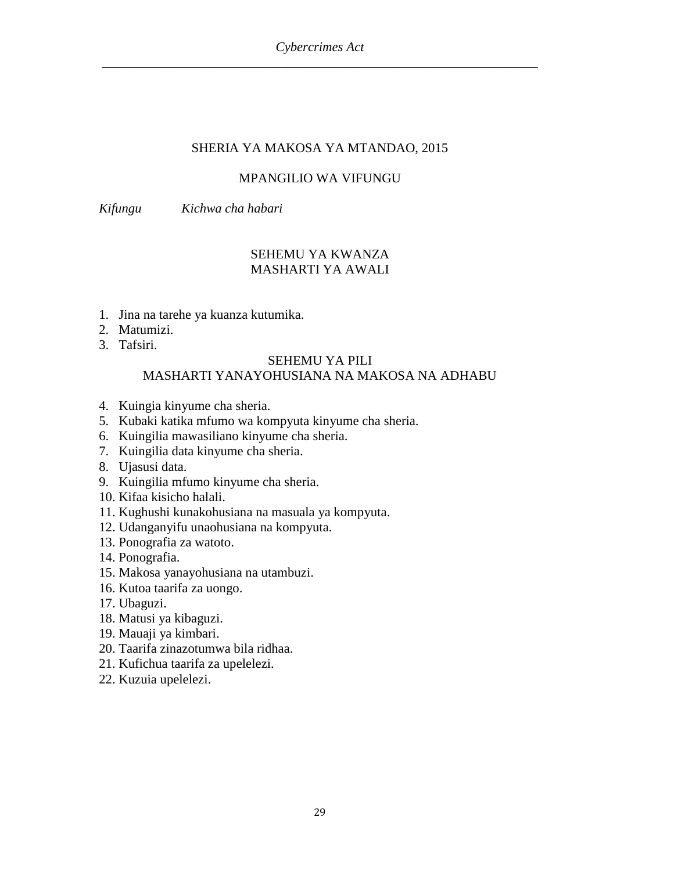## SHERIA YA MAKOSA YA MTANDAO, 2015

## MPANGILIO WA VIFUNGU

*Kifungu Kichwa cha habari*

## SEHEMU YA KWANZA MASHARTI YA AWALI

- 1. Jina na tarehe ya kuanza kutumika.
- 2. Matumizi.
- 3. Tafsiri.

### SEHEMU YA PILI

## MASHARTI YANAYOHUSIANA NA MAKOSA NA ADHABU

- 4. Kuingia kinyume cha sheria.
- 5. Kubaki katika mfumo wa kompyuta kinyume cha sheria.
- 6. Kuingilia mawasiliano kinyume cha sheria.
- 7. Kuingilia data kinyume cha sheria.
- 8. Ujasusi data.
- 9. Kuingilia mfumo kinyume cha sheria.
- 10. Kifaa kisicho halali.
- 11. Kughushi kunakohusiana na masuala ya kompyuta.
- 12. Udanganyifu unaohusiana na kompyuta.
- 13. Ponografia za watoto.
- 14. Ponografia.
- 15. Makosa yanayohusiana na utambuzi.
- 16. Kutoa taarifa za uongo.
- 17. Ubaguzi.
- 18. Matusi ya kibaguzi.
- 19. Mauaji ya kimbari.
- 20. Taarifa zinazotumwa bila ridhaa.
- 21. Kufichua taarifa za upelelezi.
- 22. Kuzuia upelelezi.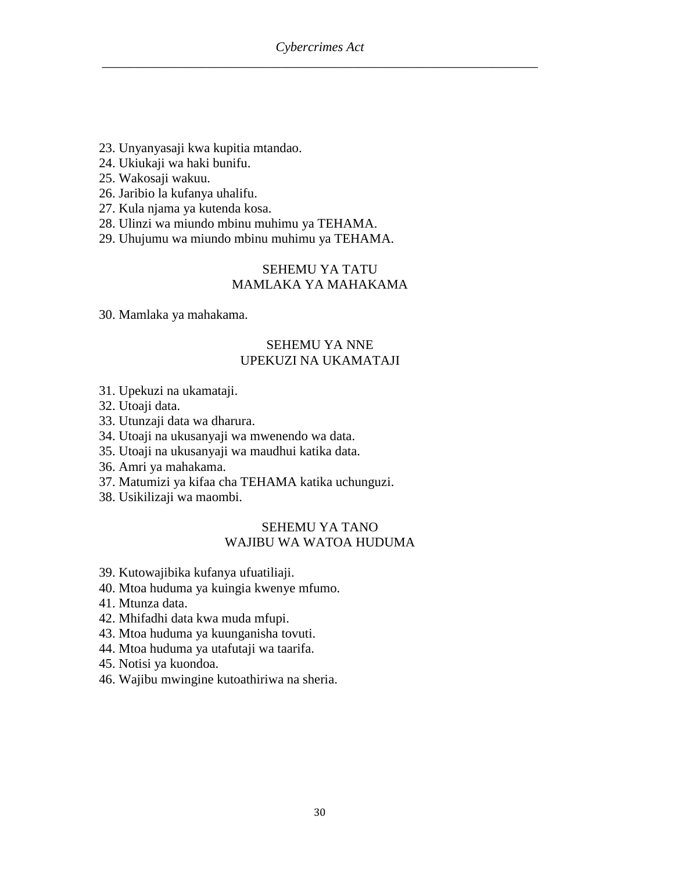- 23. Unyanyasaji kwa kupitia mtandao.
- 24. Ukiukaji wa haki bunifu.
- 25. Wakosaji wakuu.
- 26. Jaribio la kufanya uhalifu.
- 27. Kula njama ya kutenda kosa.
- 28. Ulinzi wa miundo mbinu muhimu ya TEHAMA.
- 29. Uhujumu wa miundo mbinu muhimu ya TEHAMA.

### SEHEMU YA TATU MAMLAKA YA MAHAKAMA

30. Mamlaka ya mahakama.

### SEHEMU YA NNE UPEKUZI NA UKAMATAJI

- 31. Upekuzi na ukamataji.
- 32. Utoaji data.
- 33. Utunzaji data wa dharura.
- 34. Utoaji na ukusanyaji wa mwenendo wa data.
- 35. Utoaji na ukusanyaji wa maudhui katika data.
- 36. Amri ya mahakama.
- 37. Matumizi ya kifaa cha TEHAMA katika uchunguzi.
- 38. Usikilizaji wa maombi.

#### SEHEMU YA TANO WAJIBU WA WATOA HUDUMA

- 39. Kutowajibika kufanya ufuatiliaji.
- 40. Mtoa huduma ya kuingia kwenye mfumo.
- 41. Mtunza data.
- 42. Mhifadhi data kwa muda mfupi.
- 43. Mtoa huduma ya kuunganisha tovuti.
- 44. Mtoa huduma ya utafutaji wa taarifa.
- 45. Notisi ya kuondoa.
- 46. Wajibu mwingine kutoathiriwa na sheria.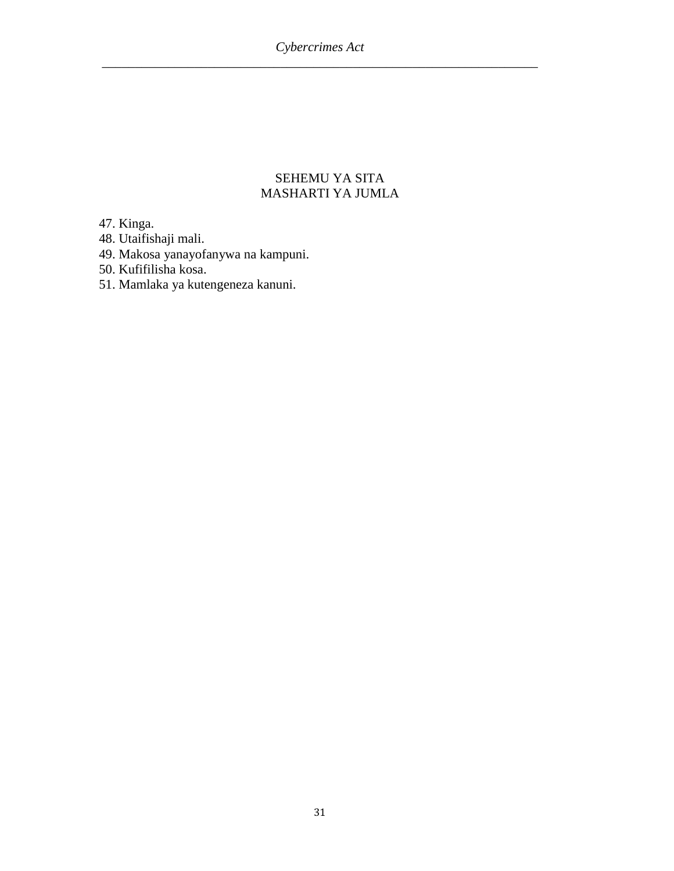## SEHEMU YA SITA MASHARTI YA JUMLA

47. Kinga.

48. Utaifishaji mali.

49. Makosa yanayofanywa na kampuni.

50. Kufifilisha kosa.

51. Mamlaka ya kutengeneza kanuni.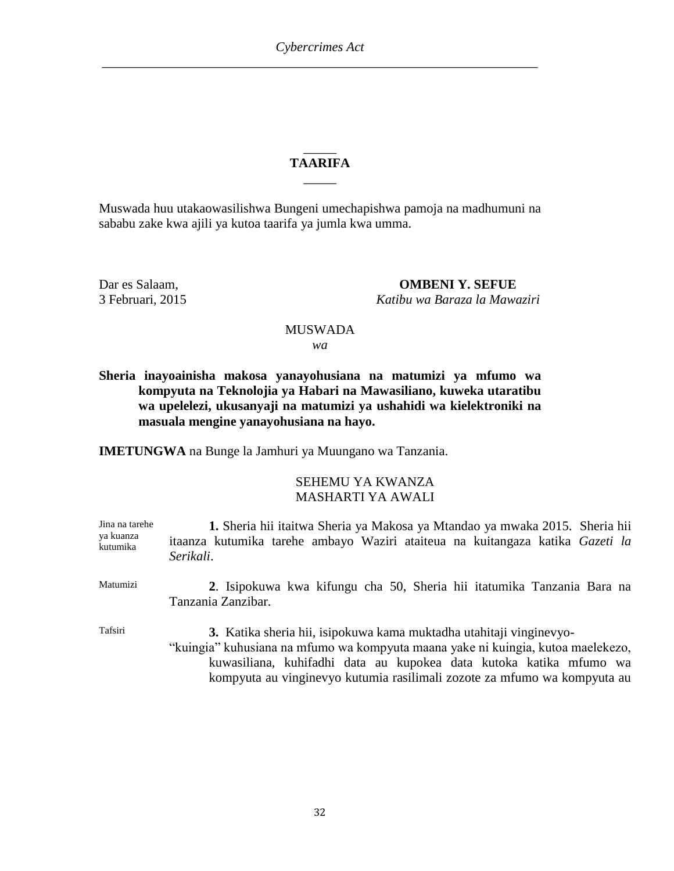### \_\_\_\_\_ **TAARIFA**  $\overline{\phantom{a}}$

Muswada huu utakaowasilishwa Bungeni umechapishwa pamoja na madhumuni na sababu zake kwa ajili ya kutoa taarifa ya jumla kwa umma.

Dar es Salaam, **OMBENI Y. SEFUE** 3 Februari, 2015 *Katibu wa Baraza la Mawaziri*

## MUSWADA

*wa*

**Sheria inayoainisha makosa yanayohusiana na matumizi ya mfumo wa kompyuta na Teknolojia ya Habari na Mawasiliano, kuweka utaratibu wa upelelezi, ukusanyaji na matumizi ya ushahidi wa kielektroniki na masuala mengine yanayohusiana na hayo.**

**IMETUNGWA** na Bunge la Jamhuri ya Muungano wa Tanzania.

## SEHEMU YA KWANZA MASHARTI YA AWALI

| Jina na tarehe<br>ya kuanza<br>kutumika | 1. Sheria hii itaitwa Sheria ya Makosa ya Mtandao ya mwaka 2015. Sheria hii<br>itaanza kutumika tarehe ambayo Waziri ataiteua na kuitangaza katika Gazeti la<br>Serikali.                                                                                                                                 |
|-----------------------------------------|-----------------------------------------------------------------------------------------------------------------------------------------------------------------------------------------------------------------------------------------------------------------------------------------------------------|
| Matumizi                                | 2. Isipokuwa kwa kifungu cha 50, Sheria hii itatumika Tanzania Bara na<br>Tanzania Zanzibar.                                                                                                                                                                                                              |
| Tafsiri                                 | 3. Katika sheria hii, isipokuwa kama muktadha utahitaji vinginevyo-<br>"kuingia" kuhusiana na mfumo wa kompyuta maana yake ni kuingia, kutoa maelekezo,<br>kuwasiliana, kuhifadhi data au kupokea data kutoka katika mfumo wa<br>kompyuta au vinginevyo kutumia rasilimali zozote za mfumo wa kompyuta au |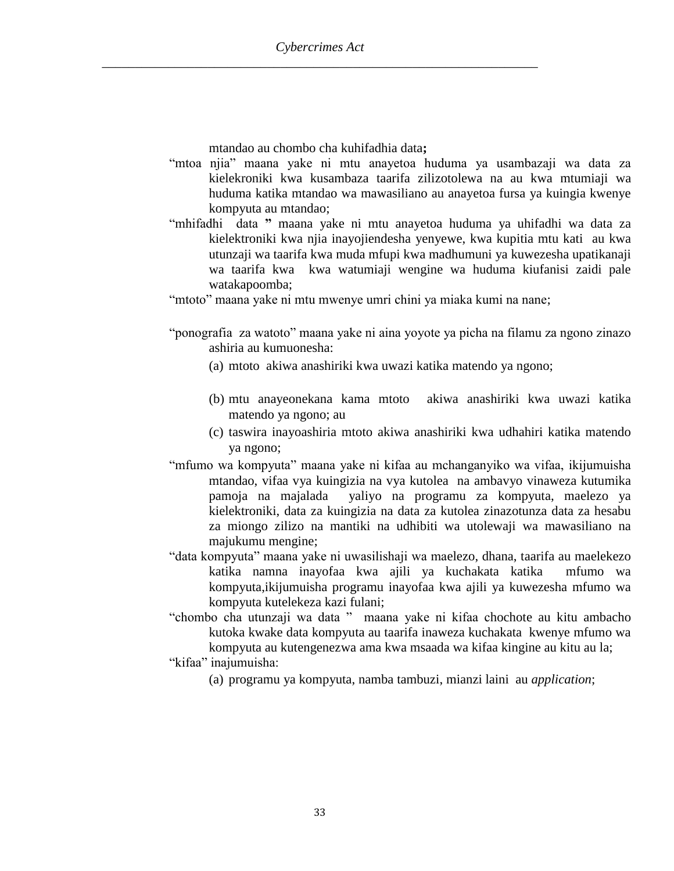mtandao au chombo cha kuhifadhia data**;**

- "mtoa njia" maana yake ni mtu anayetoa huduma ya usambazaji wa data za kielekroniki kwa kusambaza taarifa zilizotolewa na au kwa mtumiaji wa huduma katika mtandao wa mawasiliano au anayetoa fursa ya kuingia kwenye kompyuta au mtandao;
- "mhifadhi data **"** maana yake ni mtu anayetoa huduma ya uhifadhi wa data za kielektroniki kwa njia inayojiendesha yenyewe, kwa kupitia mtu kati au kwa utunzaji wa taarifa kwa muda mfupi kwa madhumuni ya kuwezesha upatikanaji wa taarifa kwa kwa watumiaji wengine wa huduma kiufanisi zaidi pale watakapoomba;

"mtoto" maana yake ni mtu mwenye umri chini ya miaka kumi na nane;

- "ponografia za watoto" maana yake ni aina yoyote ya picha na filamu za ngono zinazo ashiria au kumuonesha:
	- (a) mtoto akiwa anashiriki kwa uwazi katika matendo ya ngono;
	- (b) mtu anayeonekana kama mtoto akiwa anashiriki kwa uwazi katika matendo ya ngono; au
	- (c) taswira inayoashiria mtoto akiwa anashiriki kwa udhahiri katika matendo ya ngono;
- "mfumo wa kompyuta" maana yake ni kifaa au mchanganyiko wa vifaa, ikijumuisha mtandao, vifaa vya kuingizia na vya kutolea na ambavyo vinaweza kutumika pamoja na majalada yaliyo na programu za kompyuta, maelezo ya kielektroniki, data za kuingizia na data za kutolea zinazotunza data za hesabu za miongo zilizo na mantiki na udhibiti wa utolewaji wa mawasiliano na majukumu mengine;
- "data kompyuta" maana yake ni uwasilishaji wa maelezo, dhana, taarifa au maelekezo katika namna inayofaa kwa ajili ya kuchakata katika mfumo wa kompyuta,ikijumuisha programu inayofaa kwa ajili ya kuwezesha mfumo wa kompyuta kutelekeza kazi fulani;
- "chombo cha utunzaji wa data " maana yake ni kifaa chochote au kitu ambacho kutoka kwake data kompyuta au taarifa inaweza kuchakata kwenye mfumo wa kompyuta au kutengenezwa ama kwa msaada wa kifaa kingine au kitu au la;
- "kifaa" inajumuisha:
	- (a) programu ya kompyuta, namba tambuzi, mianzi laini au *application*;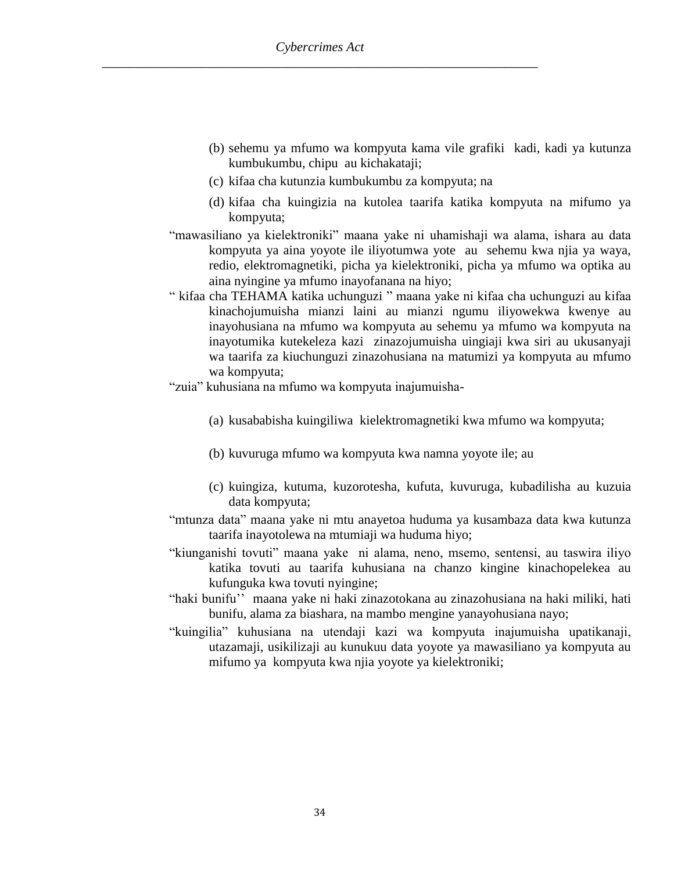- (b) sehemu ya mfumo wa kompyuta kama vile grafiki kadi, kadi ya kutunza kumbukumbu, chipu au kichakataji;
- (c) kifaa cha kutunzia kumbukumbu za kompyuta; na
- (d) kifaa cha kuingizia na kutolea taarifa katika kompyuta na mifumo ya kompyuta;
- "mawasiliano ya kielektroniki" maana yake ni uhamishaji wa alama, ishara au data kompyuta ya aina yoyote ile iliyotumwa yote au sehemu kwa njia ya waya, redio, elektromagnetiki, picha ya kielektroniki, picha ya mfumo wa optika au aina nyingine ya mfumo inayofanana na hiyo;
- " kifaa cha TEHAMA katika uchunguzi " maana yake ni kifaa cha uchunguzi au kifaa kinachojumuisha mianzi laini au mianzi ngumu iliyowekwa kwenye au inayohusiana na mfumo wa kompyuta au sehemu ya mfumo wa kompyuta na inayotumika kutekeleza kazi zinazojumuisha uingiaji kwa siri au ukusanyaji wa taarifa za kiuchunguzi zinazohusiana na matumizi ya kompyuta au mfumo wa kompyuta;
- "zuia" kuhusiana na mfumo wa kompyuta inajumuisha-
	- (a) kusababisha kuingiliwa kielektromagnetiki kwa mfumo wa kompyuta;
	- (b) kuvuruga mfumo wa kompyuta kwa namna yoyote ile; au
	- (c) kuingiza, kutuma, kuzorotesha, kufuta, kuvuruga, kubadilisha au kuzuia data kompyuta;
- "mtunza data" maana yake ni mtu anayetoa huduma ya kusambaza data kwa kutunza taarifa inayotolewa na mtumiaji wa huduma hiyo;
- "kiunganishi tovuti" maana yake ni alama, neno, msemo, sentensi, au taswira iliyo katika tovuti au taarifa kuhusiana na chanzo kingine kinachopelekea au kufunguka kwa tovuti nyingine;
- "haki bunifu'' maana yake ni haki zinazotokana au zinazohusiana na haki miliki, hati bunifu, alama za biashara, na mambo mengine yanayohusiana nayo;
- "kuingilia" kuhusiana na utendaji kazi wa kompyuta inajumuisha upatikanaji, utazamaji, usikilizaji au kunukuu data yoyote ya mawasiliano ya kompyuta au mifumo ya kompyuta kwa njia yoyote ya kielektroniki;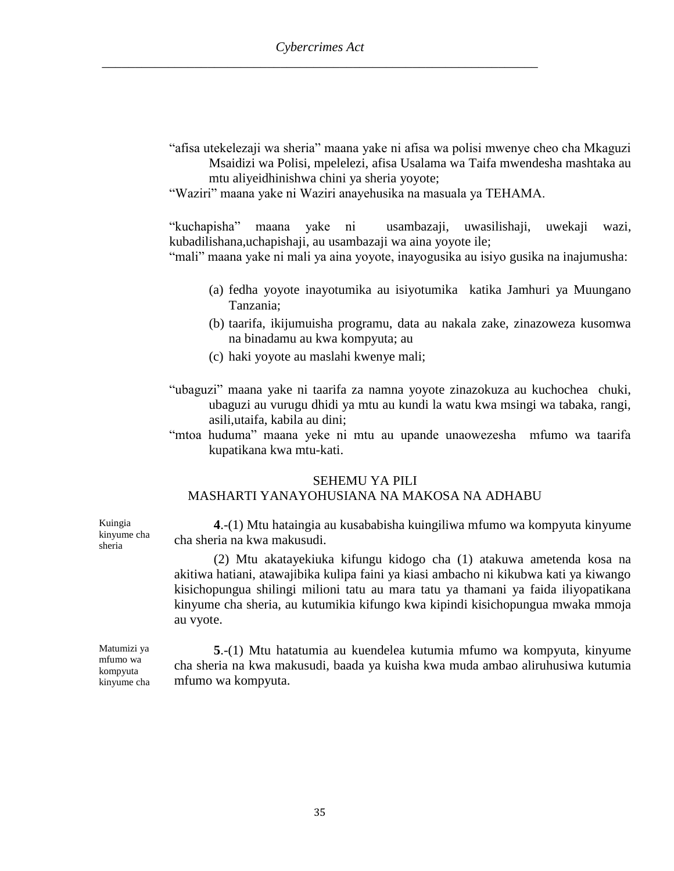- "afisa utekelezaji wa sheria" maana yake ni afisa wa polisi mwenye cheo cha Mkaguzi Msaidizi wa Polisi, mpelelezi, afisa Usalama wa Taifa mwendesha mashtaka au mtu aliyeidhinishwa chini ya sheria yoyote;
- "Waziri" maana yake ni Waziri anayehusika na masuala ya TEHAMA.

"kuchapisha" maana yake ni usambazaji, uwasilishaji, uwekaji wazi, kubadilishana,uchapishaji, au usambazaji wa aina yoyote ile;

"mali" maana yake ni mali ya aina yoyote, inayogusika au isiyo gusika na inajumusha:

- (a) fedha yoyote inayotumika au isiyotumika katika Jamhuri ya Muungano Tanzania;
- (b) taarifa, ikijumuisha programu, data au nakala zake, zinazoweza kusomwa na binadamu au kwa kompyuta; au
- (c) haki yoyote au maslahi kwenye mali;
- "ubaguzi" maana yake ni taarifa za namna yoyote zinazokuza au kuchochea chuki, ubaguzi au vurugu dhidi ya mtu au kundi la watu kwa msingi wa tabaka, rangi, asili,utaifa, kabila au dini;
- "mtoa huduma" maana yeke ni mtu au upande unaowezesha mfumo wa taarifa kupatikana kwa mtu-kati.

#### SEHEMU YA PILI

### MASHARTI YANAYOHUSIANA NA MAKOSA NA ADHABU

**4**.-(1) Mtu hataingia au kusababisha kuingiliwa mfumo wa kompyuta kinyume cha sheria na kwa makusudi.

(2) Mtu akatayekiuka kifungu kidogo cha (1) atakuwa ametenda kosa na akitiwa hatiani, atawajibika kulipa faini ya kiasi ambacho ni kikubwa kati ya kiwango kisichopungua shilingi milioni tatu au mara tatu ya thamani ya faida iliyopatikana kinyume cha sheria, au kutumikia kifungo kwa kipindi kisichopungua mwaka mmoja au vyote.

Matumizi ya mfumo wa kompyuta kinyume cha

Kuingia kinyume cha sheria

> **5**.-(1) Mtu hatatumia au kuendelea kutumia mfumo wa kompyuta, kinyume cha sheria na kwa makusudi, baada ya kuisha kwa muda ambao aliruhusiwa kutumia mfumo wa kompyuta.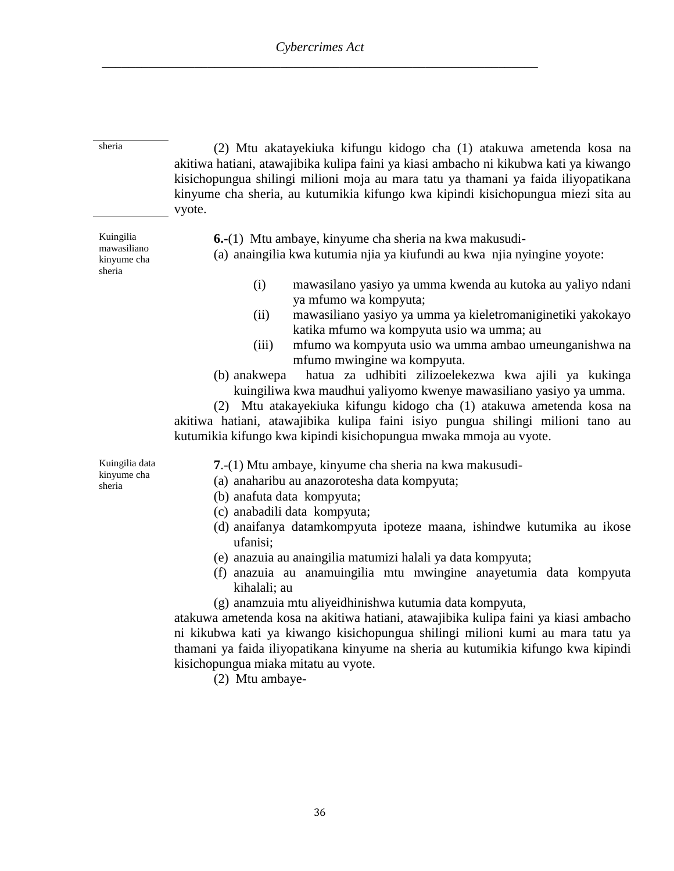sheria (2) Mtu akatayekiuka kifungu kidogo cha (1) atakuwa ametenda kosa na akitiwa hatiani, atawajibika kulipa faini ya kiasi ambacho ni kikubwa kati ya kiwango kisichopungua shilingi milioni moja au mara tatu ya thamani ya faida iliyopatikana kinyume cha sheria, au kutumikia kifungo kwa kipindi kisichopungua miezi sita au vyote.

Kuingilia mawasiliano kinyume cha sheria

**6.-**(1) Mtu ambaye, kinyume cha sheria na kwa makusudi-

(a) anaingilia kwa kutumia njia ya kiufundi au kwa njia nyingine yoyote:

- (i) mawasilano yasiyo ya umma kwenda au kutoka au yaliyo ndani ya mfumo wa kompyuta;
- (ii) mawasiliano yasiyo ya umma ya kieletromaniginetiki yakokayo katika mfumo wa kompyuta usio wa umma; au
- (iii) mfumo wa kompyuta usio wa umma ambao umeunganishwa na mfumo mwingine wa kompyuta.
- (b) anakwepa hatua za udhibiti zilizoelekezwa kwa ajili ya kukinga kuingiliwa kwa maudhui yaliyomo kwenye mawasiliano yasiyo ya umma.

(2) Mtu atakayekiuka kifungu kidogo cha (1) atakuwa ametenda kosa na akitiwa hatiani, atawajibika kulipa faini isiyo pungua shilingi milioni tano au kutumikia kifungo kwa kipindi kisichopungua mwaka mmoja au vyote.

Kuingilia data kinyume cha sheria

**7**.-(1) Mtu ambaye, kinyume cha sheria na kwa makusudi-

- (a) anaharibu au anazorotesha data kompyuta;
- (b) anafuta data kompyuta;
- (c) anabadili data kompyuta;
- (d) anaifanya datamkompyuta ipoteze maana, ishindwe kutumika au ikose ufanisi;
- (e) anazuia au anaingilia matumizi halali ya data kompyuta;
- (f) anazuia au anamuingilia mtu mwingine anayetumia data kompyuta kihalali; au
- (g) anamzuia mtu aliyeidhinishwa kutumia data kompyuta,

atakuwa ametenda kosa na akitiwa hatiani, atawajibika kulipa faini ya kiasi ambacho ni kikubwa kati ya kiwango kisichopungua shilingi milioni kumi au mara tatu ya thamani ya faida iliyopatikana kinyume na sheria au kutumikia kifungo kwa kipindi kisichopungua miaka mitatu au vyote.

(2) Mtu ambaye-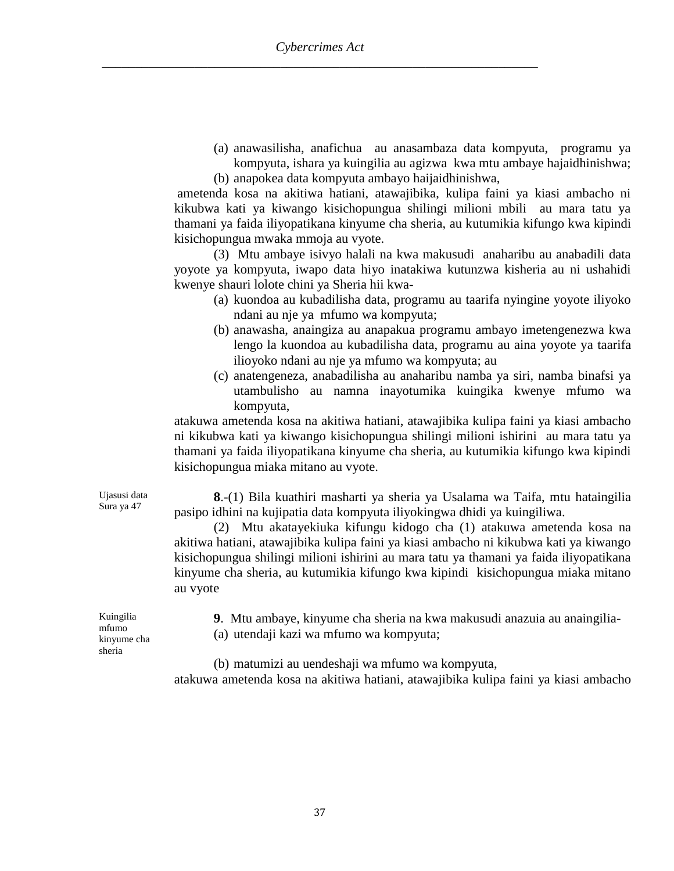(a) anawasilisha, anafichua au anasambaza data kompyuta, programu ya kompyuta, ishara ya kuingilia au agizwa kwa mtu ambaye hajaidhinishwa;

(b) anapokea data kompyuta ambayo haijaidhinishwa, ametenda kosa na akitiwa hatiani, atawajibika, kulipa faini ya kiasi ambacho ni kikubwa kati ya kiwango kisichopungua shilingi milioni mbili au mara tatu ya thamani ya faida iliyopatikana kinyume cha sheria, au kutumikia kifungo kwa kipindi kisichopungua mwaka mmoja au vyote.

(3) Mtu ambaye isivyo halali na kwa makusudi anaharibu au anabadili data yoyote ya kompyuta, iwapo data hiyo inatakiwa kutunzwa kisheria au ni ushahidi kwenye shauri lolote chini ya Sheria hii kwa-

- (a) kuondoa au kubadilisha data, programu au taarifa nyingine yoyote iliyoko ndani au nje ya mfumo wa kompyuta;
- (b) anawasha, anaingiza au anapakua programu ambayo imetengenezwa kwa lengo la kuondoa au kubadilisha data, programu au aina yoyote ya taarifa ilioyoko ndani au nje ya mfumo wa kompyuta; au
- (c) anatengeneza, anabadilisha au anaharibu namba ya siri, namba binafsi ya utambulisho au namna inayotumika kuingika kwenye mfumo wa kompyuta,

atakuwa ametenda kosa na akitiwa hatiani, atawajibika kulipa faini ya kiasi ambacho ni kikubwa kati ya kiwango kisichopungua shilingi milioni ishirini au mara tatu ya thamani ya faida iliyopatikana kinyume cha sheria, au kutumikia kifungo kwa kipindi kisichopungua miaka mitano au vyote.

**8**.-(1) Bila kuathiri masharti ya sheria ya Usalama wa Taifa, mtu hataingilia pasipo idhini na kujipatia data kompyuta iliyokingwa dhidi ya kuingiliwa.

(2) Mtu akatayekiuka kifungu kidogo cha (1) atakuwa ametenda kosa na akitiwa hatiani, atawajibika kulipa faini ya kiasi ambacho ni kikubwa kati ya kiwango kisichopungua shilingi milioni ishirini au mara tatu ya thamani ya faida iliyopatikana kinyume cha sheria, au kutumikia kifungo kwa kipindi kisichopungua miaka mitano au vyote

**9**. Mtu ambaye, kinyume cha sheria na kwa makusudi anazuia au anaingilia-

(a) utendaji kazi wa mfumo wa kompyuta;

(b) matumizi au uendeshaji wa mfumo wa kompyuta,

atakuwa ametenda kosa na akitiwa hatiani, atawajibika kulipa faini ya kiasi ambacho

Kuingilia mfumo kinyume cha sheria

Ujasusi data Sura ya 47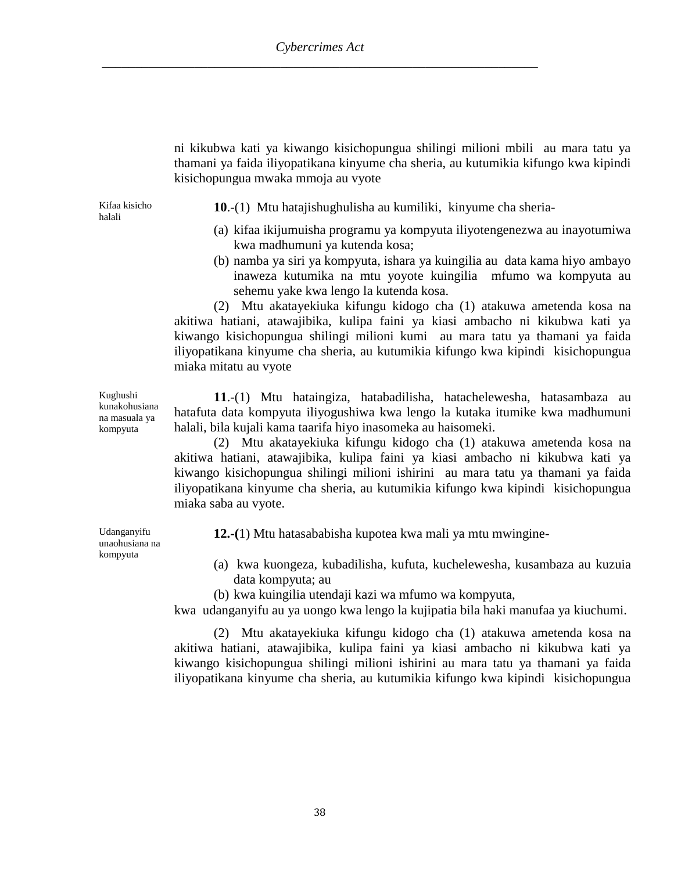ni kikubwa kati ya kiwango kisichopungua shilingi milioni mbili au mara tatu ya thamani ya faida iliyopatikana kinyume cha sheria, au kutumikia kifungo kwa kipindi kisichopungua mwaka mmoja au vyote

Kifaa kisicho halali

**10**.-(1) Mtu hatajishughulisha au kumiliki, kinyume cha sheria-

- (a) kifaa ikijumuisha programu ya kompyuta iliyotengenezwa au inayotumiwa kwa madhumuni ya kutenda kosa;
- (b) namba ya siri ya kompyuta, ishara ya kuingilia au data kama hiyo ambayo inaweza kutumika na mtu yoyote kuingilia mfumo wa kompyuta au sehemu yake kwa lengo la kutenda kosa.

(2) Mtu akatayekiuka kifungu kidogo cha (1) atakuwa ametenda kosa na akitiwa hatiani, atawajibika, kulipa faini ya kiasi ambacho ni kikubwa kati ya kiwango kisichopungua shilingi milioni kumi au mara tatu ya thamani ya faida iliyopatikana kinyume cha sheria, au kutumikia kifungo kwa kipindi kisichopungua miaka mitatu au vyote

**11**.-(1) Mtu hataingiza, hatabadilisha, hatachelewesha, hatasambaza au hatafuta data kompyuta iliyogushiwa kwa lengo la kutaka itumike kwa madhumuni halali, bila kujali kama taarifa hiyo inasomeka au haisomeki.

(2) Mtu akatayekiuka kifungu kidogo cha (1) atakuwa ametenda kosa na akitiwa hatiani, atawajibika, kulipa faini ya kiasi ambacho ni kikubwa kati ya kiwango kisichopungua shilingi milioni ishirini au mara tatu ya thamani ya faida iliyopatikana kinyume cha sheria, au kutumikia kifungo kwa kipindi kisichopungua miaka saba au vyote.

**12.-(**1) Mtu hatasababisha kupotea kwa mali ya mtu mwingine-

- (a) kwa kuongeza, kubadilisha, kufuta, kuchelewesha, kusambaza au kuzuia data kompyuta; au
- (b) kwa kuingilia utendaji kazi wa mfumo wa kompyuta,

kwa udanganyifu au ya uongo kwa lengo la kujipatia bila haki manufaa ya kiuchumi.

(2) Mtu akatayekiuka kifungu kidogo cha (1) atakuwa ametenda kosa na akitiwa hatiani, atawajibika, kulipa faini ya kiasi ambacho ni kikubwa kati ya kiwango kisichopungua shilingi milioni ishirini au mara tatu ya thamani ya faida iliyopatikana kinyume cha sheria, au kutumikia kifungo kwa kipindi kisichopungua

Kughushi kunakohusiana na masuala ya kompyuta

Udanganyifu unaohusiana na kompyuta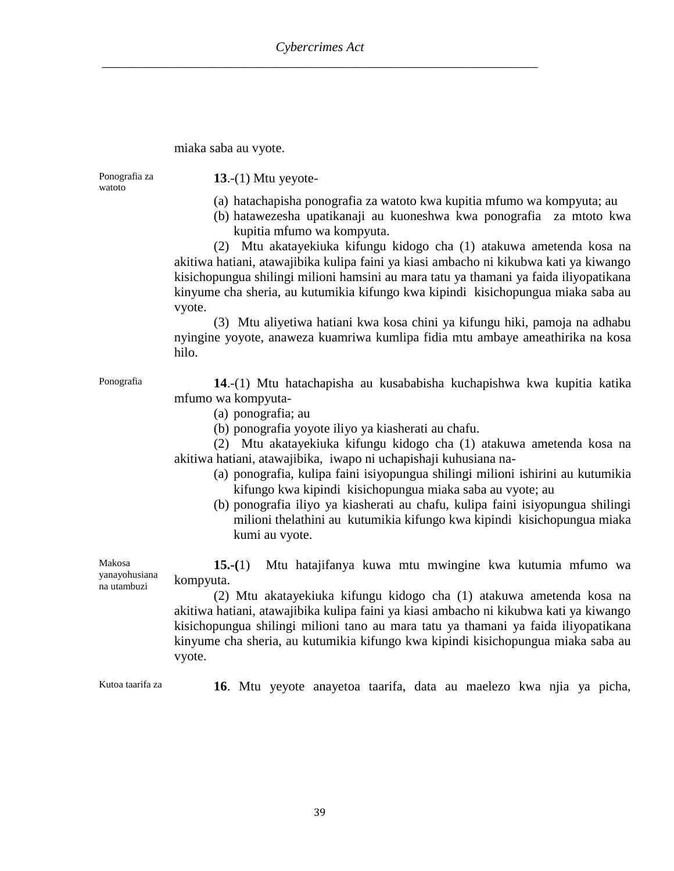#### miaka saba au vyote.

Ponografia za watoto

**13**.-(1) Mtu yeyote-

- (a) hatachapisha ponografia za watoto kwa kupitia mfumo wa kompyuta; au
- (b) hatawezesha upatikanaji au kuoneshwa kwa ponografia za mtoto kwa kupitia mfumo wa kompyuta.

(2) Mtu akatayekiuka kifungu kidogo cha (1) atakuwa ametenda kosa na akitiwa hatiani, atawajibika kulipa faini ya kiasi ambacho ni kikubwa kati ya kiwango kisichopungua shilingi milioni hamsini au mara tatu ya thamani ya faida iliyopatikana kinyume cha sheria, au kutumikia kifungo kwa kipindi kisichopungua miaka saba au vyote.

(3) Mtu aliyetiwa hatiani kwa kosa chini ya kifungu hiki, pamoja na adhabu nyingine yoyote, anaweza kuamriwa kumlipa fidia mtu ambaye ameathirika na kosa hilo.

Ponografia **14**.-(1) Mtu hatachapisha au kusababisha kuchapishwa kwa kupitia katika mfumo wa kompyuta-

- (a) ponografia; au
- (b) ponografia yoyote iliyo ya kiasherati au chafu.

(2) Mtu akatayekiuka kifungu kidogo cha (1) atakuwa ametenda kosa na akitiwa hatiani, atawajibika, iwapo ni uchapishaji kuhusiana na-

- (a) ponografia, kulipa faini isiyopungua shilingi milioni ishirini au kutumikia kifungo kwa kipindi kisichopungua miaka saba au vyote; au
- (b) ponografia iliyo ya kiasherati au chafu, kulipa faini isiyopungua shilingi milioni thelathini au kutumikia kifungo kwa kipindi kisichopungua miaka kumi au vyote.

Makosa yanayohusiana na utambuzi **15.-(**1) Mtu hatajifanya kuwa mtu mwingine kwa kutumia mfumo wa kompyuta.

(2) Mtu akatayekiuka kifungu kidogo cha (1) atakuwa ametenda kosa na akitiwa hatiani, atawajibika kulipa faini ya kiasi ambacho ni kikubwa kati ya kiwango kisichopungua shilingi milioni tano au mara tatu ya thamani ya faida iliyopatikana kinyume cha sheria, au kutumikia kifungo kwa kipindi kisichopungua miaka saba au vyote.

Kutoa taarifa za **16**. Mtu yeyote anayetoa taarifa, data au maelezo kwa njia ya picha,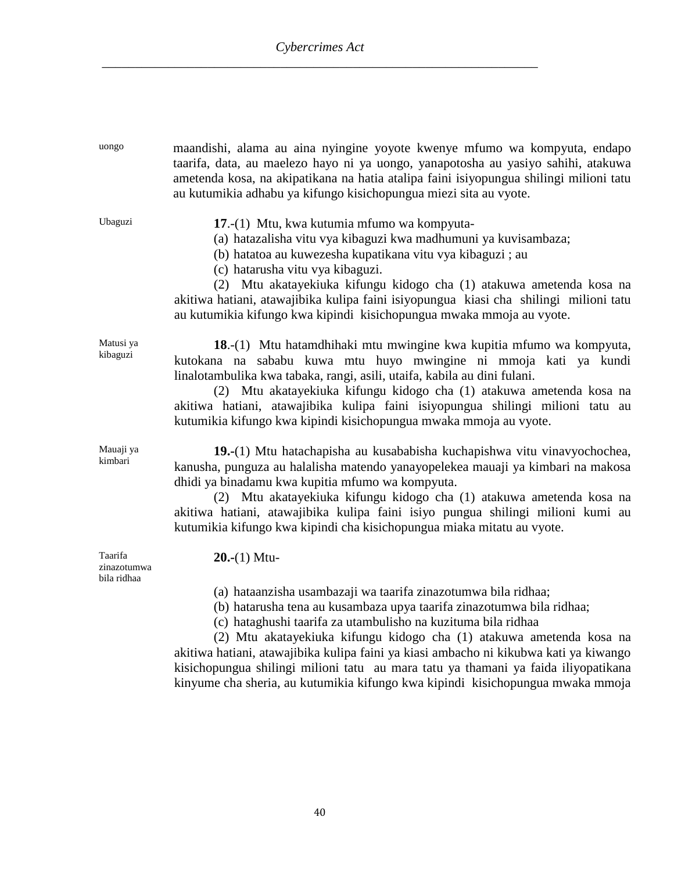| uongo                                 | maandishi, alama au aina nyingine yoyote kwenye mfumo wa kompyuta, endapo<br>taarifa, data, au maelezo hayo ni ya uongo, yanapotosha au yasiyo sahihi, atakuwa<br>ametenda kosa, na akipatikana na hatia atalipa faini isiyopungua shilingi milioni tatu<br>au kutumikia adhabu ya kifungo kisichopungua miezi sita au vyote.                                                                                                                                                                                                                     |
|---------------------------------------|---------------------------------------------------------------------------------------------------------------------------------------------------------------------------------------------------------------------------------------------------------------------------------------------------------------------------------------------------------------------------------------------------------------------------------------------------------------------------------------------------------------------------------------------------|
| Ubaguzi                               | 17.-(1) Mtu, kwa kutumia mfumo wa kompyuta-<br>(a) hatazalisha vitu vya kibaguzi kwa madhumuni ya kuvisambaza;<br>(b) hatatoa au kuwezesha kupatikana vitu vya kibaguzi ; au<br>(c) hatarusha vitu vya kibaguzi.<br>(2) Mtu akatayekiuka kifungu kidogo cha (1) atakuwa ametenda kosa na<br>akitiwa hatiani, atawajibika kulipa faini isiyopungua kiasi cha shilingi milioni tatu<br>au kutumikia kifungo kwa kipindi kisichopungua mwaka mmoja au vyote.                                                                                         |
| Matusi ya<br>kibaguzi                 | 18.-(1) Mtu hatamdhihaki mtu mwingine kwa kupitia mfumo wa kompyuta,<br>kutokana na sababu kuwa mtu huyo mwingine ni mmoja kati ya kundi<br>linalotambulika kwa tabaka, rangi, asili, utaifa, kabila au dini fulani.<br>(2) Mtu akatayekiuka kifungu kidogo cha (1) atakuwa ametenda kosa na<br>akitiwa hatiani, atawajibika kulipa faini isiyopungua shilingi milioni tatu au<br>kutumikia kifungo kwa kipindi kisichopungua mwaka mmoja au vyote.                                                                                               |
| Mauaji ya<br>kimbari                  | 19.-(1) Mtu hatachapisha au kusababisha kuchapishwa vitu vinavyochochea,<br>kanusha, punguza au halalisha matendo yanayopelekea mauaji ya kimbari na makosa<br>dhidi ya binadamu kwa kupitia mfumo wa kompyuta.<br>(2) Mtu akatayekiuka kifungu kidogo cha (1) atakuwa ametenda kosa na<br>akitiwa hatiani, atawajibika kulipa faini isiyo pungua shilingi milioni kumi au<br>kutumikia kifungo kwa kipindi cha kisichopungua miaka mitatu au vyote.                                                                                              |
| Taarifa<br>zinazotumwa<br>bila ridhaa | $20-(1)$ Mtu-                                                                                                                                                                                                                                                                                                                                                                                                                                                                                                                                     |
|                                       | (a) hataanzisha usambazaji wa taarifa zinazotumwa bila ridhaa;<br>(b) hatarusha tena au kusambaza upya taarifa zinazotumwa bila ridhaa;<br>(c) hataghushi taarifa za utambulisho na kuzituma bila ridhaa<br>(2) Mtu akatayekiuka kifungu kidogo cha (1) atakuwa ametenda kosa na<br>akitiwa hatiani, atawajibika kulipa faini ya kiasi ambacho ni kikubwa kati ya kiwango<br>kisichopungua shilingi milioni tatu au mara tatu ya thamani ya faida iliyopatikana<br>kinyume cha sheria, au kutumikia kifungo kwa kipindi kisichopungua mwaka mmoja |

40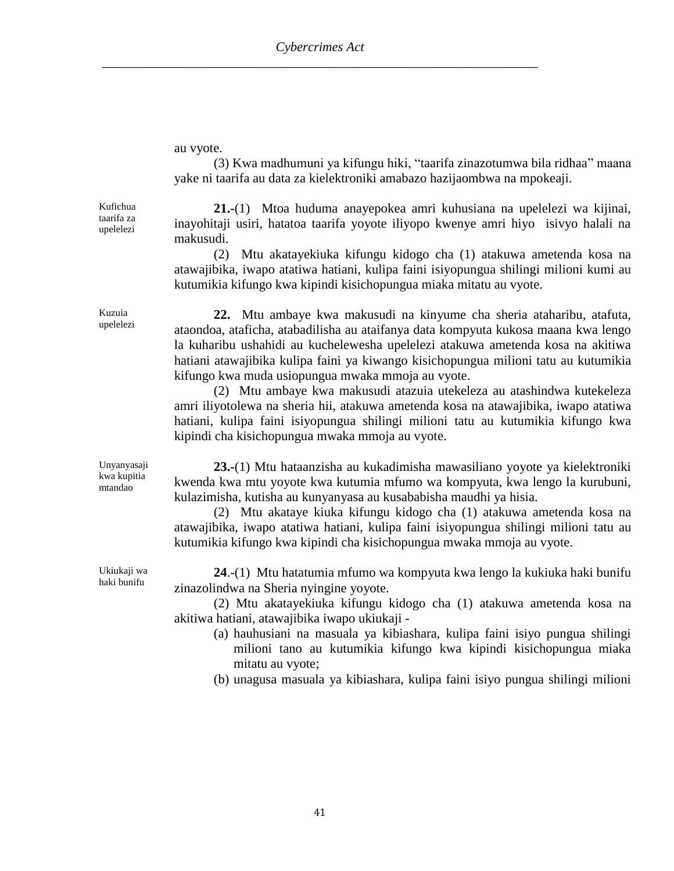au vyote.

(3) Kwa madhumuni ya kifungu hiki, "taarifa zinazotumwa bila ridhaa" maana yake ni taarifa au data za kielektroniki amabazo hazijaombwa na mpokeaji.

Kufichua taarifa za upelelezi

**21.-**(1) Mtoa huduma anayepokea amri kuhusiana na upelelezi wa kijinai, inayohitaji usiri, hatatoa taarifa yoyote iliyopo kwenye amri hiyo isivyo halali na makusudi.

(2) Mtu akatayekiuka kifungu kidogo cha (1) atakuwa ametenda kosa na atawajibika, iwapo atatiwa hatiani, kulipa faini isiyopungua shilingi milioni kumi au kutumikia kifungo kwa kipindi kisichopungua miaka mitatu au vyote.

**22.** Mtu ambaye kwa makusudi na kinyume cha sheria ataharibu, atafuta, ataondoa, ataficha, atabadilisha au ataifanya data kompyuta kukosa maana kwa lengo la kuharibu ushahidi au kuchelewesha upelelezi atakuwa ametenda kosa na akitiwa hatiani atawajibika kulipa faini ya kiwango kisichopungua milioni tatu au kutumikia kifungo kwa muda usiopungua mwaka mmoja au vyote.

(2) Mtu ambaye kwa makusudi atazuia utekeleza au atashindwa kutekeleza amri iliyotolewa na sheria hii, atakuwa ametenda kosa na atawajibika, iwapo atatiwa hatiani, kulipa faini isiyopungua shilingi milioni tatu au kutumikia kifungo kwa kipindi cha kisichopungua mwaka mmoja au vyote.

**23.-**(1) Mtu hataanzisha au kukadimisha mawasiliano yoyote ya kielektroniki kwenda kwa mtu yoyote kwa kutumia mfumo wa kompyuta, kwa lengo la kurubuni, kulazimisha, kutisha au kunyanyasa au kusababisha maudhi ya hisia.

(2) Mtu akataye kiuka kifungu kidogo cha (1) atakuwa ametenda kosa na atawajibika, iwapo atatiwa hatiani, kulipa faini isiyopungua shilingi milioni tatu au kutumikia kifungo kwa kipindi cha kisichopungua mwaka mmoja au vyote.

**24**.-(1) Mtu hatatumia mfumo wa kompyuta kwa lengo la kukiuka haki bunifu zinazolindwa na Sheria nyingine yoyote.

(2) Mtu akatayekiuka kifungu kidogo cha (1) atakuwa ametenda kosa na akitiwa hatiani, atawajibika iwapo ukiukaji -

(a) hauhusiani na masuala ya kibiashara, kulipa faini isiyo pungua shilingi milioni tano au kutumikia kifungo kwa kipindi kisichopungua miaka mitatu au vyote;

(b) unagusa masuala ya kibiashara, kulipa faini isiyo pungua shilingi milioni

Kuzuia upelelezi

Unyanyasaji kwa kupitia mtandao

Ukiukaji wa haki bunifu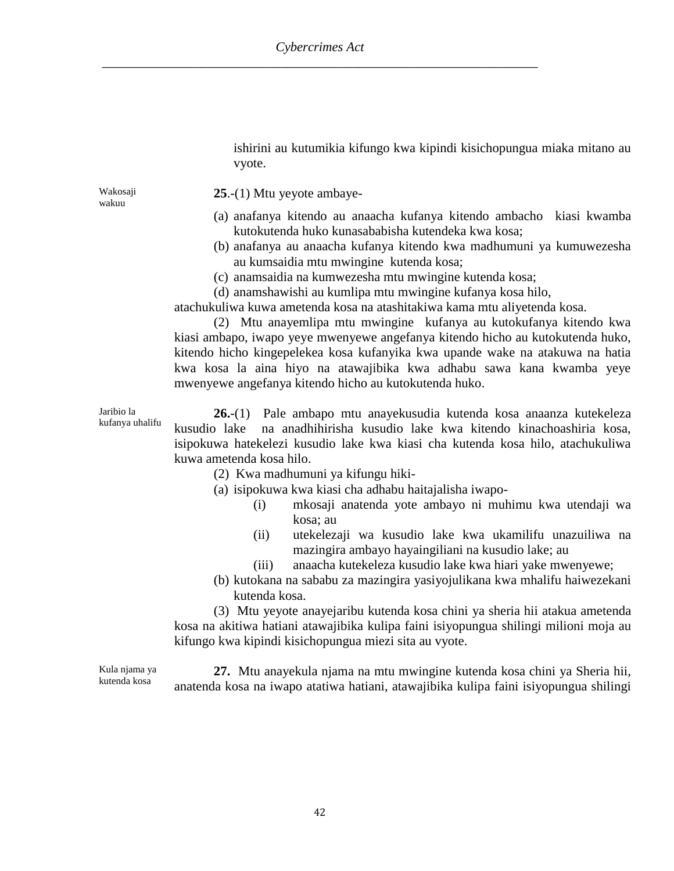ishirini au kutumikia kifungo kwa kipindi kisichopungua miaka mitano au vyote.

Wakosaji wakuu

**25**.-(1) Mtu yeyote ambaye-

- (a) anafanya kitendo au anaacha kufanya kitendo ambacho kiasi kwamba kutokutenda huko kunasababisha kutendeka kwa kosa;
- (b) anafanya au anaacha kufanya kitendo kwa madhumuni ya kumuwezesha au kumsaidia mtu mwingine kutenda kosa;
- (c) anamsaidia na kumwezesha mtu mwingine kutenda kosa;
- (d) anamshawishi au kumlipa mtu mwingine kufanya kosa hilo,

atachukuliwa kuwa ametenda kosa na atashitakiwa kama mtu aliyetenda kosa.

(2) Mtu anayemlipa mtu mwingine kufanya au kutokufanya kitendo kwa kiasi ambapo, iwapo yeye mwenyewe angefanya kitendo hicho au kutokutenda huko, kitendo hicho kingepelekea kosa kufanyika kwa upande wake na atakuwa na hatia kwa kosa la aina hiyo na atawajibika kwa adhabu sawa kana kwamba yeye mwenyewe angefanya kitendo hicho au kutokutenda huko.

Jaribio la kufanya uhalifu

**26.**-(1) Pale ambapo mtu anayekusudia kutenda kosa anaanza kutekeleza kusudio lake na anadhihirisha kusudio lake kwa kitendo kinachoashiria kosa, isipokuwa hatekelezi kusudio lake kwa kiasi cha kutenda kosa hilo, atachukuliwa kuwa ametenda kosa hilo.

(2) Kwa madhumuni ya kifungu hiki-

(a) isipokuwa kwa kiasi cha adhabu haitajalisha iwapo-

- (i) mkosaji anatenda yote ambayo ni muhimu kwa utendaji wa kosa; au
- (ii) utekelezaji wa kusudio lake kwa ukamilifu unazuiliwa na mazingira ambayo hayaingiliani na kusudio lake; au
- (iii) anaacha kutekeleza kusudio lake kwa hiari yake mwenyewe;
- (b) kutokana na sababu za mazingira yasiyojulikana kwa mhalifu haiwezekani kutenda kosa.

(3) Mtu yeyote anayejaribu kutenda kosa chini ya sheria hii atakua ametenda kosa na akitiwa hatiani atawajibika kulipa faini isiyopungua shilingi milioni moja au kifungo kwa kipindi kisichopungua miezi sita au vyote.

Kula njama ya kutenda kosa

**27.** Mtu anayekula njama na mtu mwingine kutenda kosa chini ya Sheria hii, anatenda kosa na iwapo atatiwa hatiani, atawajibika kulipa faini isiyopungua shilingi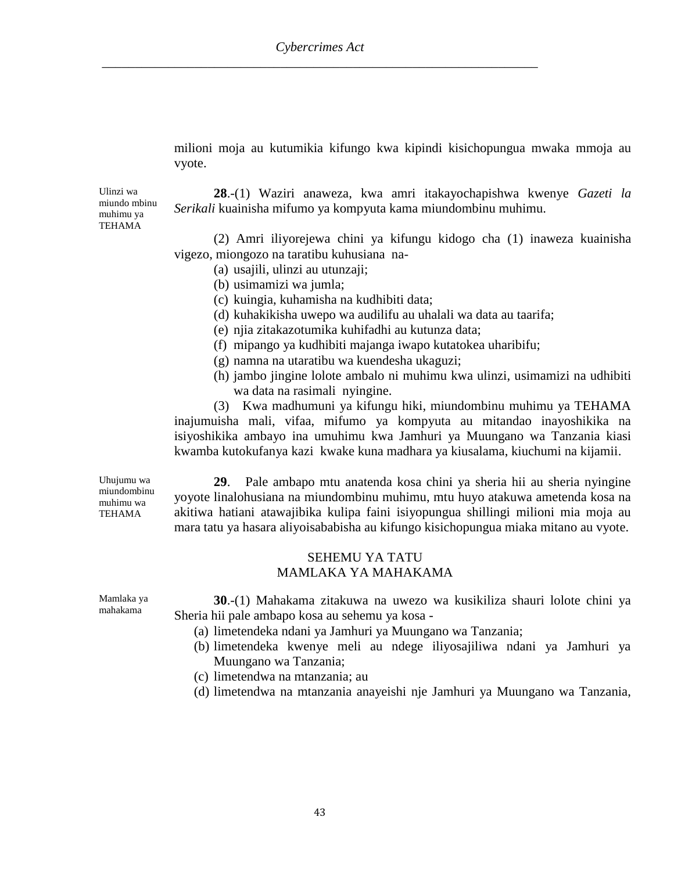milioni moja au kutumikia kifungo kwa kipindi kisichopungua mwaka mmoja au vyote.

Ulinzi wa miundo mbinu muhimu ya TEHAMA

**28**.-(1) Waziri anaweza, kwa amri itakayochapishwa kwenye *Gazeti la Serikali* kuainisha mifumo ya kompyuta kama miundombinu muhimu.

(2) Amri iliyorejewa chini ya kifungu kidogo cha (1) inaweza kuainisha vigezo, miongozo na taratibu kuhusiana na-

- (a) usajili, ulinzi au utunzaji;
- (b) usimamizi wa jumla;
- (c) kuingia, kuhamisha na kudhibiti data;
- (d) kuhakikisha uwepo wa audilifu au uhalali wa data au taarifa;
- (e) njia zitakazotumika kuhifadhi au kutunza data;
- (f) mipango ya kudhibiti majanga iwapo kutatokea uharibifu;
- (g) namna na utaratibu wa kuendesha ukaguzi;
- (h) jambo jingine lolote ambalo ni muhimu kwa ulinzi, usimamizi na udhibiti wa data na rasimali nyingine.

(3) Kwa madhumuni ya kifungu hiki, miundombinu muhimu ya TEHAMA inajumuisha mali, vifaa, mifumo ya kompyuta au mitandao inayoshikika na isiyoshikika ambayo ina umuhimu kwa Jamhuri ya Muungano wa Tanzania kiasi kwamba kutokufanya kazi kwake kuna madhara ya kiusalama, kiuchumi na kijamii.

Uhujumu wa miundombinu muhimu wa TEHAMA

**29**. Pale ambapo mtu anatenda kosa chini ya sheria hii au sheria nyingine yoyote linalohusiana na miundombinu muhimu, mtu huyo atakuwa ametenda kosa na akitiwa hatiani atawajibika kulipa faini isiyopungua shillingi milioni mia moja au mara tatu ya hasara aliyoisababisha au kifungo kisichopungua miaka mitano au vyote.

## SEHEMU YA TATU MAMLAKA YA MAHAKAMA

Mamlaka ya mahakama

- **30**.-(1) Mahakama zitakuwa na uwezo wa kusikiliza shauri lolote chini ya Sheria hii pale ambapo kosa au sehemu ya kosa -
	- (a) limetendeka ndani ya Jamhuri ya Muungano wa Tanzania;
	- (b) limetendeka kwenye meli au ndege iliyosajiliwa ndani ya Jamhuri ya Muungano wa Tanzania;
	- (c) limetendwa na mtanzania; au
	- (d) limetendwa na mtanzania anayeishi nje Jamhuri ya Muungano wa Tanzania,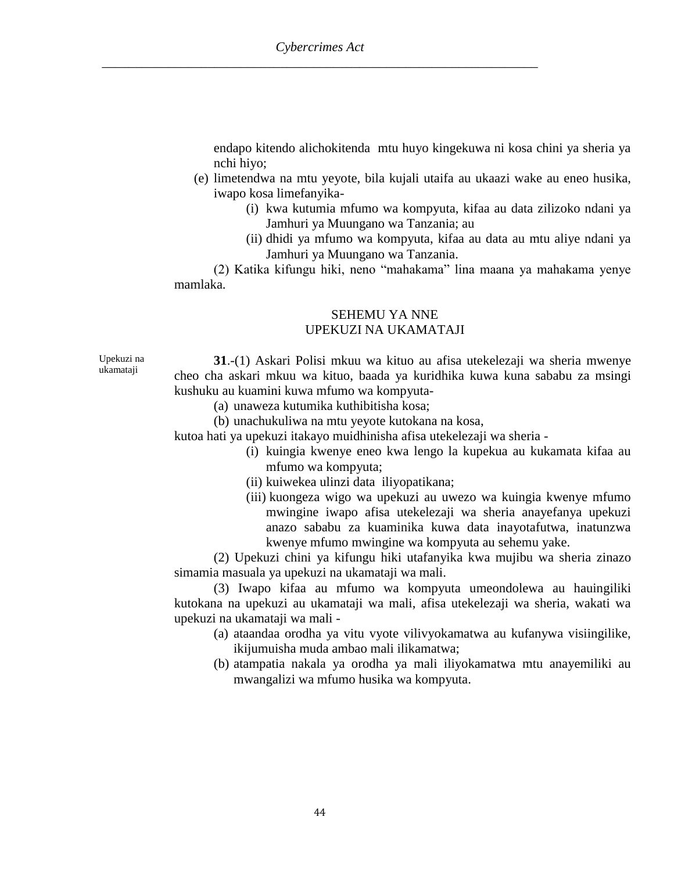endapo kitendo alichokitenda mtu huyo kingekuwa ni kosa chini ya sheria ya nchi hiyo;

- (e) limetendwa na mtu yeyote, bila kujali utaifa au ukaazi wake au eneo husika, iwapo kosa limefanyika-
	- (i) kwa kutumia mfumo wa kompyuta, kifaa au data zilizoko ndani ya Jamhuri ya Muungano wa Tanzania; au
	- (ii) dhidi ya mfumo wa kompyuta, kifaa au data au mtu aliye ndani ya Jamhuri ya Muungano wa Tanzania.

(2) Katika kifungu hiki, neno "mahakama" lina maana ya mahakama yenye mamlaka.

### SEHEMU YA NNE UPEKUZI NA UKAMATAJI

Upekuzi na ukamataji

**31**.-(1) Askari Polisi mkuu wa kituo au afisa utekelezaji wa sheria mwenye cheo cha askari mkuu wa kituo, baada ya kuridhika kuwa kuna sababu za msingi kushuku au kuamini kuwa mfumo wa kompyuta-

- (a) unaweza kutumika kuthibitisha kosa;
- (b) unachukuliwa na mtu yeyote kutokana na kosa,

kutoa hati ya upekuzi itakayo muidhinisha afisa utekelezaji wa sheria -

- (i) kuingia kwenye eneo kwa lengo la kupekua au kukamata kifaa au mfumo wa kompyuta;
- (ii) kuiwekea ulinzi data iliyopatikana;
- (iii) kuongeza wigo wa upekuzi au uwezo wa kuingia kwenye mfumo mwingine iwapo afisa utekelezaji wa sheria anayefanya upekuzi anazo sababu za kuaminika kuwa data inayotafutwa, inatunzwa kwenye mfumo mwingine wa kompyuta au sehemu yake.

(2) Upekuzi chini ya kifungu hiki utafanyika kwa mujibu wa sheria zinazo simamia masuala ya upekuzi na ukamataji wa mali.

(3) Iwapo kifaa au mfumo wa kompyuta umeondolewa au hauingiliki kutokana na upekuzi au ukamataji wa mali, afisa utekelezaji wa sheria, wakati wa upekuzi na ukamataji wa mali -

- (a) ataandaa orodha ya vitu vyote vilivyokamatwa au kufanywa visiingilike, ikijumuisha muda ambao mali ilikamatwa;
- (b) atampatia nakala ya orodha ya mali iliyokamatwa mtu anayemiliki au mwangalizi wa mfumo husika wa kompyuta.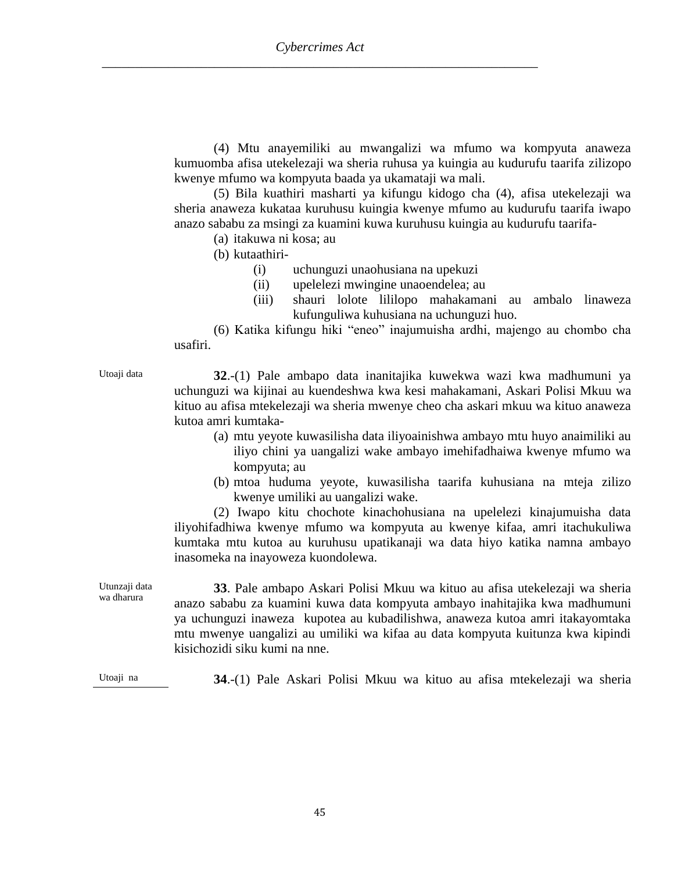(4) Mtu anayemiliki au mwangalizi wa mfumo wa kompyuta anaweza kumuomba afisa utekelezaji wa sheria ruhusa ya kuingia au kudurufu taarifa zilizopo kwenye mfumo wa kompyuta baada ya ukamataji wa mali.

(5) Bila kuathiri masharti ya kifungu kidogo cha (4), afisa utekelezaji wa sheria anaweza kukataa kuruhusu kuingia kwenye mfumo au kudurufu taarifa iwapo anazo sababu za msingi za kuamini kuwa kuruhusu kuingia au kudurufu taarifa-

(a) itakuwa ni kosa; au

(b) kutaathiri-

- (i) uchunguzi unaohusiana na upekuzi
- (ii) upelelezi mwingine unaoendelea; au
- (iii) shauri lolote lililopo mahakamani au ambalo linaweza kufunguliwa kuhusiana na uchunguzi huo.

(6) Katika kifungu hiki "eneo" inajumuisha ardhi, majengo au chombo cha usafiri.

Utoaji data **32**.-(1) Pale ambapo data inanitajika kuwekwa wazi kwa madhumuni ya uchunguzi wa kijinai au kuendeshwa kwa kesi mahakamani, Askari Polisi Mkuu wa kituo au afisa mtekelezaji wa sheria mwenye cheo cha askari mkuu wa kituo anaweza kutoa amri kumtaka-

- (a) mtu yeyote kuwasilisha data iliyoainishwa ambayo mtu huyo anaimiliki au iliyo chini ya uangalizi wake ambayo imehifadhaiwa kwenye mfumo wa kompyuta; au
- (b) mtoa huduma yeyote, kuwasilisha taarifa kuhusiana na mteja zilizo kwenye umiliki au uangalizi wake.

(2) Iwapo kitu chochote kinachohusiana na upelelezi kinajumuisha data iliyohifadhiwa kwenye mfumo wa kompyuta au kwenye kifaa, amri itachukuliwa kumtaka mtu kutoa au kuruhusu upatikanaji wa data hiyo katika namna ambayo inasomeka na inayoweza kuondolewa.

Utunzaji data wa dharura **33**. Pale ambapo Askari Polisi Mkuu wa kituo au afisa utekelezaji wa sheria anazo sababu za kuamini kuwa data kompyuta ambayo inahitajika kwa madhumuni ya uchunguzi inaweza kupotea au kubadilishwa, anaweza kutoa amri itakayomtaka mtu mwenye uangalizi au umiliki wa kifaa au data kompyuta kuitunza kwa kipindi kisichozidi siku kumi na nne.

Utoaji na **34**.-(1) Pale Askari Polisi Mkuu wa kituo au afisa mtekelezaji wa sheria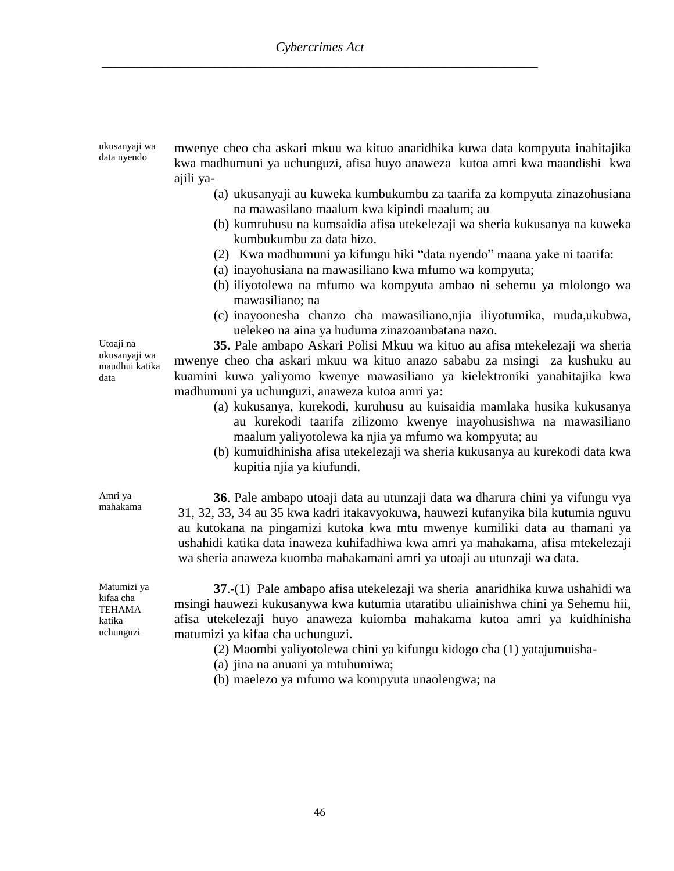| ukusanyaji wa<br>data nyendo                                     | mwenye cheo cha askari mkuu wa kituo anaridhika kuwa data kompyuta inahitajika<br>kwa madhumuni ya uchunguzi, afisa huyo anaweza kutoa amri kwa maandishi kwa<br>ajili ya-                                                                                                                                                                                                                                              |
|------------------------------------------------------------------|-------------------------------------------------------------------------------------------------------------------------------------------------------------------------------------------------------------------------------------------------------------------------------------------------------------------------------------------------------------------------------------------------------------------------|
|                                                                  | (a) ukusanyaji au kuweka kumbukumbu za taarifa za kompyuta zinazohusiana<br>na mawasilano maalum kwa kipindi maalum; au<br>(b) kumruhusu na kumsaidia afisa utekelezaji wa sheria kukusanya na kuweka                                                                                                                                                                                                                   |
|                                                                  | kumbukumbu za data hizo.<br>(2) Kwa madhumuni ya kifungu hiki "data nyendo" maana yake ni taarifa:<br>(a) inayohusiana na mawasiliano kwa mfumo wa kompyuta;                                                                                                                                                                                                                                                            |
|                                                                  | (b) iliyotolewa na mfumo wa kompyuta ambao ni sehemu ya mlolongo wa<br>mawasiliano; na                                                                                                                                                                                                                                                                                                                                  |
|                                                                  | (c) inayoonesha chanzo cha mawasiliano,njia iliyotumika, muda,ukubwa,<br>uelekeo na aina ya huduma zinazoambatana nazo.                                                                                                                                                                                                                                                                                                 |
| Utoaji na<br>ukusanyaji wa<br>maudhui katika<br>data             | 35. Pale ambapo Askari Polisi Mkuu wa kituo au afisa mtekelezaji wa sheria<br>mwenye cheo cha askari mkuu wa kituo anazo sababu za msingi za kushuku au<br>kuamini kuwa yaliyomo kwenye mawasiliano ya kielektroniki yanahitajika kwa<br>madhumuni ya uchunguzi, anaweza kutoa amri ya:<br>(a) kukusanya, kurekodi, kuruhusu au kuisaidia mamlaka husika kukusanya                                                      |
|                                                                  | au kurekodi taarifa zilizomo kwenye inayohusishwa na mawasiliano<br>maalum yaliyotolewa ka njia ya mfumo wa kompyuta; au<br>(b) kumuidhinisha afisa utekelezaji wa sheria kukusanya au kurekodi data kwa<br>kupitia njia ya kiufundi.                                                                                                                                                                                   |
| Amri ya<br>mahakama                                              | 36. Pale ambapo utoaji data au utunzaji data wa dharura chini ya vifungu vya<br>31, 32, 33, 34 au 35 kwa kadri itakavyokuwa, hauwezi kufanyika bila kutumia nguvu<br>au kutokana na pingamizi kutoka kwa mtu mwenye kumiliki data au thamani ya<br>ushahidi katika data inaweza kuhifadhiwa kwa amri ya mahakama, afisa mtekelezaji<br>wa sheria anaweza kuomba mahakamani amri ya utoaji au utunzaji wa data.          |
| Matumizi ya<br>kifaa cha<br><b>TEHAMA</b><br>katika<br>uchunguzi | 37.-(1) Pale ambapo afisa utekelezaji wa sheria anaridhika kuwa ushahidi wa<br>msingi hauwezi kukusanywa kwa kutumia utaratibu uliainishwa chini ya Sehemu hii,<br>afisa utekelezaji huyo anaweza kuiomba mahakama kutoa amri ya kuidhinisha<br>matumizi ya kifaa cha uchunguzi.<br>$\mathbf{a} \cdot \mathbf{b}$ and $\mathbf{a} \cdot \mathbf{c}$ and $\mathbf{a} \cdot \mathbf{c}$ and $\mathbf{a} \cdot \mathbf{c}$ |

(2) Maombi yaliyotolewa chini ya kifungu kidogo cha (1) yatajumuisha-

- (a) jina na anuani ya mtuhumiwa;
- (b) maelezo ya mfumo wa kompyuta unaolengwa; na

46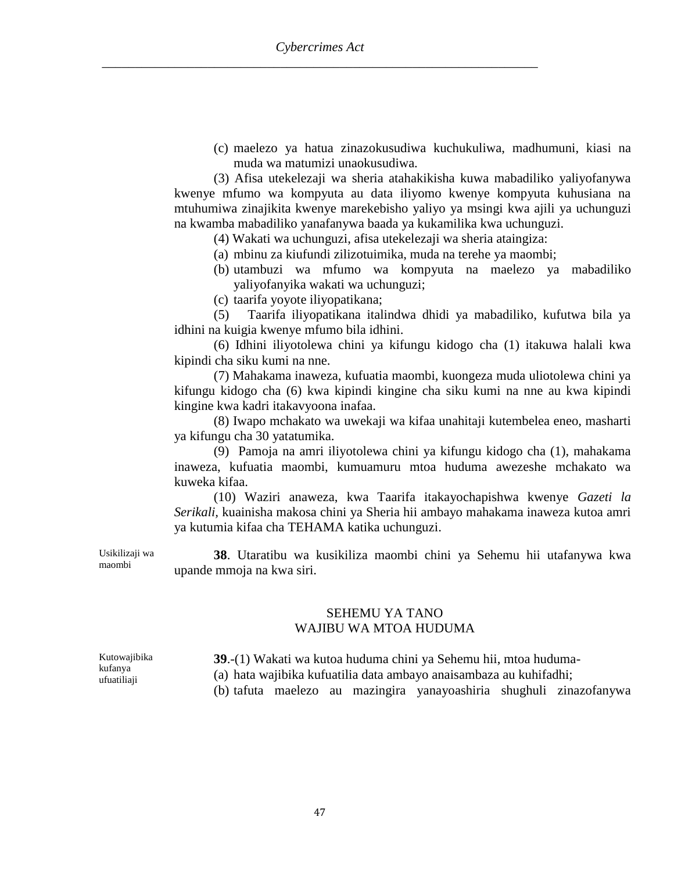(c) maelezo ya hatua zinazokusudiwa kuchukuliwa, madhumuni, kiasi na muda wa matumizi unaokusudiwa.

(3) Afisa utekelezaji wa sheria atahakikisha kuwa mabadiliko yaliyofanywa kwenye mfumo wa kompyuta au data iliyomo kwenye kompyuta kuhusiana na mtuhumiwa zinajikita kwenye marekebisho yaliyo ya msingi kwa ajili ya uchunguzi na kwamba mabadiliko yanafanywa baada ya kukamilika kwa uchunguzi.

(4) Wakati wa uchunguzi, afisa utekelezaji wa sheria ataingiza:

- (a) mbinu za kiufundi zilizotuimika, muda na terehe ya maombi;
- (b) utambuzi wa mfumo wa kompyuta na maelezo ya mabadiliko yaliyofanyika wakati wa uchunguzi;
- (c) taarifa yoyote iliyopatikana;

(5) Taarifa iliyopatikana italindwa dhidi ya mabadiliko, kufutwa bila ya idhini na kuigia kwenye mfumo bila idhini.

(6) Idhini iliyotolewa chini ya kifungu kidogo cha (1) itakuwa halali kwa kipindi cha siku kumi na nne.

(7) Mahakama inaweza, kufuatia maombi, kuongeza muda uliotolewa chini ya kifungu kidogo cha (6) kwa kipindi kingine cha siku kumi na nne au kwa kipindi kingine kwa kadri itakavyoona inafaa.

(8) Iwapo mchakato wa uwekaji wa kifaa unahitaji kutembelea eneo, masharti ya kifungu cha 30 yatatumika.

(9) Pamoja na amri iliyotolewa chini ya kifungu kidogo cha (1), mahakama inaweza, kufuatia maombi, kumuamuru mtoa huduma awezeshe mchakato wa kuweka kifaa.

(10) Waziri anaweza, kwa Taarifa itakayochapishwa kwenye *Gazeti la Serikali,* kuainisha makosa chini ya Sheria hii ambayo mahakama inaweza kutoa amri ya kutumia kifaa cha TEHAMA katika uchunguzi.

Usikilizaji wa **38**. Utaratibu wa kusikiliza maombi chini ya Sehemu hii utafanywa kwa upande mmoja na kwa siri.

#### SEHEMU YA TANO WAJIBU WA MTOA HUDUMA

**39**.-(1) Wakati wa kutoa huduma chini ya Sehemu hii, mtoa huduma-

(a) hata wajibika kufuatilia data ambayo anaisambaza au kuhifadhi;

(b) tafuta maelezo au mazingira yanayoashiria shughuli zinazofanywa

Kutowajibika kufanya ufuatiliaji

maombi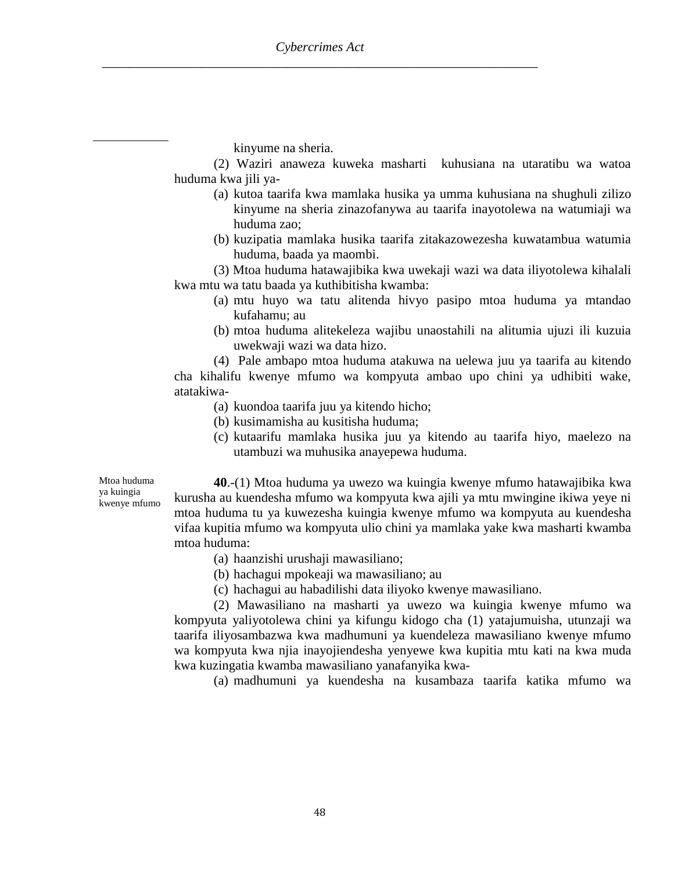kinyume na sheria.

(2) Waziri anaweza kuweka masharti kuhusiana na utaratibu wa watoa huduma kwa jili ya-

- (a) kutoa taarifa kwa mamlaka husika ya umma kuhusiana na shughuli zilizo kinyume na sheria zinazofanywa au taarifa inayotolewa na watumiaji wa huduma zao;
- (b) kuzipatia mamlaka husika taarifa zitakazowezesha kuwatambua watumia huduma, baada ya maombi.
- (3) Mtoa huduma hatawajibika kwa uwekaji wazi wa data iliyotolewa kihalali kwa mtu wa tatu baada ya kuthibitisha kwamba:
	- (a) mtu huyo wa tatu alitenda hivyo pasipo mtoa huduma ya mtandao kufahamu; au
	- (b) mtoa huduma alitekeleza wajibu unaostahili na alitumia ujuzi ili kuzuia uwekwaji wazi wa data hizo.

(4) Pale ambapo mtoa huduma atakuwa na uelewa juu ya taarifa au kitendo cha kihalifu kwenye mfumo wa kompyuta ambao upo chini ya udhibiti wake, atatakiwa-

- (a) kuondoa taarifa juu ya kitendo hicho;
- (b) kusimamisha au kusitisha huduma;
- (c) kutaarifu mamlaka husika juu ya kitendo au taarifa hiyo, maelezo na utambuzi wa muhusika anayepewa huduma.

Mtoa huduma ya kuingia kwenye mfumo

**40**.-(1) Mtoa huduma ya uwezo wa kuingia kwenye mfumo hatawajibika kwa kurusha au kuendesha mfumo wa kompyuta kwa ajili ya mtu mwingine ikiwa yeye ni mtoa huduma tu ya kuwezesha kuingia kwenye mfumo wa kompyuta au kuendesha vifaa kupitia mfumo wa kompyuta ulio chini ya mamlaka yake kwa masharti kwamba mtoa huduma:

- (a) haanzishi urushaji mawasiliano;
- (b) hachagui mpokeaji wa mawasiliano; au
- (c) hachagui au habadilishi data iliyoko kwenye mawasiliano.

(2) Mawasiliano na masharti ya uwezo wa kuingia kwenye mfumo wa kompyuta yaliyotolewa chini ya kifungu kidogo cha (1) yatajumuisha, utunzaji wa taarifa iliyosambazwa kwa madhumuni ya kuendeleza mawasiliano kwenye mfumo wa kompyuta kwa njia inayojiendesha yenyewe kwa kupitia mtu kati na kwa muda kwa kuzingatia kwamba mawasiliano yanafanyika kwa-

(a) madhumuni ya kuendesha na kusambaza taarifa katika mfumo wa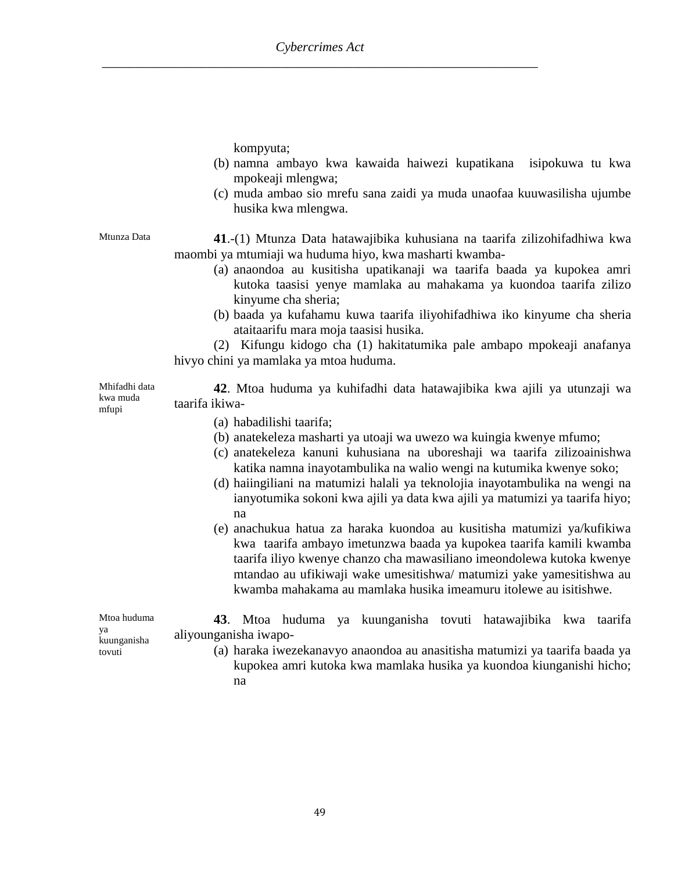kompyuta;

- (b) namna ambayo kwa kawaida haiwezi kupatikana isipokuwa tu kwa mpokeaji mlengwa;
- (c) muda ambao sio mrefu sana zaidi ya muda unaofaa kuuwasilisha ujumbe husika kwa mlengwa.

Mtunza Data **41**.-(1) Mtunza Data hatawajibika kuhusiana na taarifa zilizohifadhiwa kwa maombi ya mtumiaji wa huduma hiyo, kwa masharti kwamba-

- (a) anaondoa au kusitisha upatikanaji wa taarifa baada ya kupokea amri kutoka taasisi yenye mamlaka au mahakama ya kuondoa taarifa zilizo kinyume cha sheria;
- (b) baada ya kufahamu kuwa taarifa iliyohifadhiwa iko kinyume cha sheria ataitaarifu mara moja taasisi husika.

(2) Kifungu kidogo cha (1) hakitatumika pale ambapo mpokeaji anafanya hivyo chini ya mamlaka ya mtoa huduma.

Mhifadhi data kwa muda mfupi

- **42**. Mtoa huduma ya kuhifadhi data hatawajibika kwa ajili ya utunzaji wa taarifa ikiwa-
	- (a) habadilishi taarifa;
	- (b) anatekeleza masharti ya utoaji wa uwezo wa kuingia kwenye mfumo;
	- (c) anatekeleza kanuni kuhusiana na uboreshaji wa taarifa zilizoainishwa katika namna inayotambulika na walio wengi na kutumika kwenye soko;
	- (d) haiingiliani na matumizi halali ya teknolojia inayotambulika na wengi na ianyotumika sokoni kwa ajili ya data kwa ajili ya matumizi ya taarifa hiyo; na
	- (e) anachukua hatua za haraka kuondoa au kusitisha matumizi ya/kufikiwa kwa taarifa ambayo imetunzwa baada ya kupokea taarifa kamili kwamba taarifa iliyo kwenye chanzo cha mawasiliano imeondolewa kutoka kwenye mtandao au ufikiwaji wake umesitishwa/ matumizi yake yamesitishwa au kwamba mahakama au mamlaka husika imeamuru itolewe au isitishwe.

**43**. Mtoa huduma ya kuunganisha tovuti hatawajibika kwa taarifa aliyounganisha iwapo-

> (a) haraka iwezekanavyo anaondoa au anasitisha matumizi ya taarifa baada ya kupokea amri kutoka kwa mamlaka husika ya kuondoa kiunganishi hicho; na

Mtoa huduma ya kuunganisha tovuti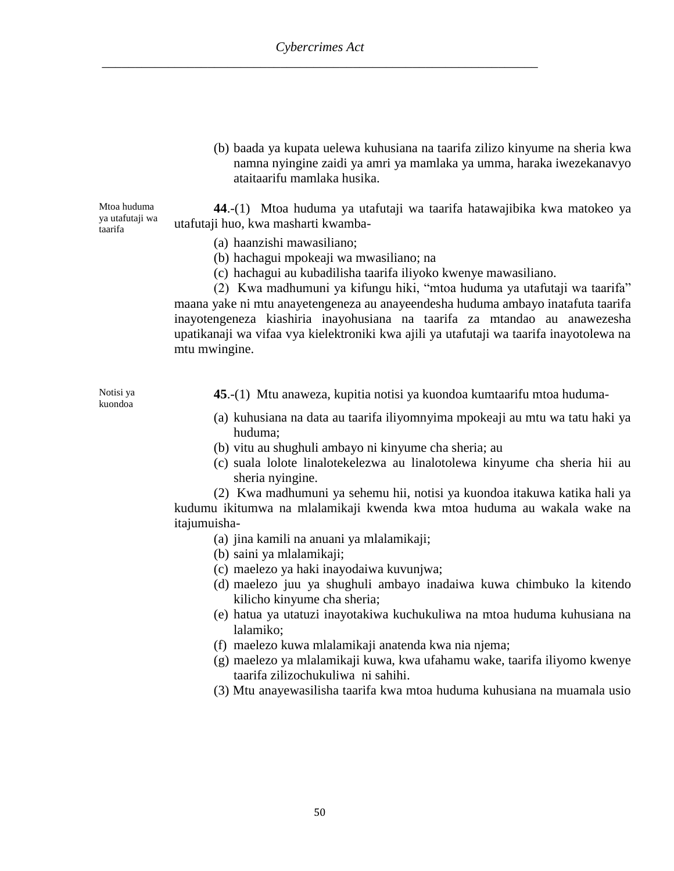(b) baada ya kupata uelewa kuhusiana na taarifa zilizo kinyume na sheria kwa namna nyingine zaidi ya amri ya mamlaka ya umma, haraka iwezekanavyo ataitaarifu mamlaka husika.

Mtoa huduma ya utafutaji wa taarifa **44**.-(1) Mtoa huduma ya utafutaji wa taarifa hatawajibika kwa matokeo ya utafutaji huo, kwa masharti kwamba-

- (a) haanzishi mawasiliano;
- (b) hachagui mpokeaji wa mwasiliano; na
- (c) hachagui au kubadilisha taarifa iliyoko kwenye mawasiliano.

(2) Kwa madhumuni ya kifungu hiki, "mtoa huduma ya utafutaji wa taarifa" maana yake ni mtu anayetengeneza au anayeendesha huduma ambayo inatafuta taarifa inayotengeneza kiashiria inayohusiana na taarifa za mtandao au anawezesha upatikanaji wa vifaa vya kielektroniki kwa ajili ya utafutaji wa taarifa inayotolewa na mtu mwingine.

Notisi ya kuondoa

- **45**.-(1) Mtu anaweza, kupitia notisi ya kuondoa kumtaarifu mtoa huduma-
- (a) kuhusiana na data au taarifa iliyomnyima mpokeaji au mtu wa tatu haki ya huduma;
- (b) vitu au shughuli ambayo ni kinyume cha sheria; au
- (c) suala lolote linalotekelezwa au linalotolewa kinyume cha sheria hii au sheria nyingine.

(2) Kwa madhumuni ya sehemu hii, notisi ya kuondoa itakuwa katika hali ya kudumu ikitumwa na mlalamikaji kwenda kwa mtoa huduma au wakala wake na itajumuisha-

- (a) jina kamili na anuani ya mlalamikaji;
- (b) saini ya mlalamikaji;
- (c) maelezo ya haki inayodaiwa kuvunjwa;
- (d) maelezo juu ya shughuli ambayo inadaiwa kuwa chimbuko la kitendo kilicho kinyume cha sheria;
- (e) hatua ya utatuzi inayotakiwa kuchukuliwa na mtoa huduma kuhusiana na lalamiko;
- (f) maelezo kuwa mlalamikaji anatenda kwa nia njema;
- (g) maelezo ya mlalamikaji kuwa, kwa ufahamu wake, taarifa iliyomo kwenye taarifa zilizochukuliwani sahihi.
- (3) Mtu anayewasilisha taarifa kwa mtoa huduma kuhusiana na muamala usio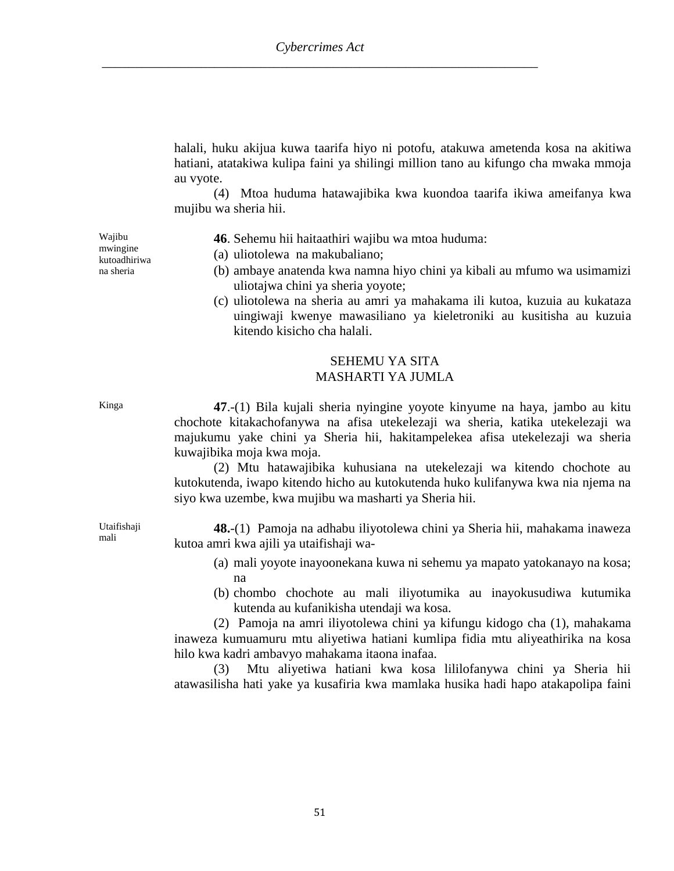halali, huku akijua kuwa taarifa hiyo ni potofu, atakuwa ametenda kosa na akitiwa hatiani, atatakiwa kulipa faini ya shilingi million tano au kifungo cha mwaka mmoja au vyote.

(4) Mtoa huduma hatawajibika kwa kuondoa taarifa ikiwa ameifanya kwa mujibu wa sheria hii.

Wajibu mwingine kutoadhiriwa na sheria

**46**. Sehemu hii haitaathiri wajibu wa mtoa huduma:

- (a) uliotolewa na makubaliano;
- (b) ambaye anatenda kwa namna hiyo chini ya kibali au mfumo wa usimamizi uliotajwa chini ya sheria yoyote;
- (c) uliotolewa na sheria au amri ya mahakama ili kutoa, kuzuia au kukataza uingiwaji kwenye mawasiliano ya kieletroniki au kusitisha au kuzuia kitendo kisicho cha halali.

## SEHEMU YA SITA MASHARTI YA JUMLA

Utaifishaji mali

Kinga **47**.-(1) Bila kujali sheria nyingine yoyote kinyume na haya, jambo au kitu chochote kitakachofanywa na afisa utekelezaji wa sheria, katika utekelezaji wa majukumu yake chini ya Sheria hii, hakitampelekea afisa utekelezaji wa sheria kuwajibika moja kwa moja.

> (2) Mtu hatawajibika kuhusiana na utekelezaji wa kitendo chochote au kutokutenda, iwapo kitendo hicho au kutokutenda huko kulifanywa kwa nia njema na siyo kwa uzembe, kwa mujibu wa masharti ya Sheria hii.

> **48.**-(1) Pamoja na adhabu iliyotolewa chini ya Sheria hii, mahakama inaweza kutoa amri kwa ajili ya utaifishaji wa-

- (a) mali yoyote inayoonekana kuwa ni sehemu ya mapato yatokanayo na kosa; na
- (b) chombo chochote au mali iliyotumika au inayokusudiwa kutumika kutenda au kufanikisha utendaji wa kosa.

(2) Pamoja na amri iliyotolewa chini ya kifungu kidogo cha (1), mahakama inaweza kumuamuru mtu aliyetiwa hatiani kumlipa fidia mtu aliyeathirika na kosa hilo kwa kadri ambavyo mahakama itaona inafaa.

(3) Mtu aliyetiwa hatiani kwa kosa lililofanywa chini ya Sheria hii atawasilisha hati yake ya kusafiria kwa mamlaka husika hadi hapo atakapolipa faini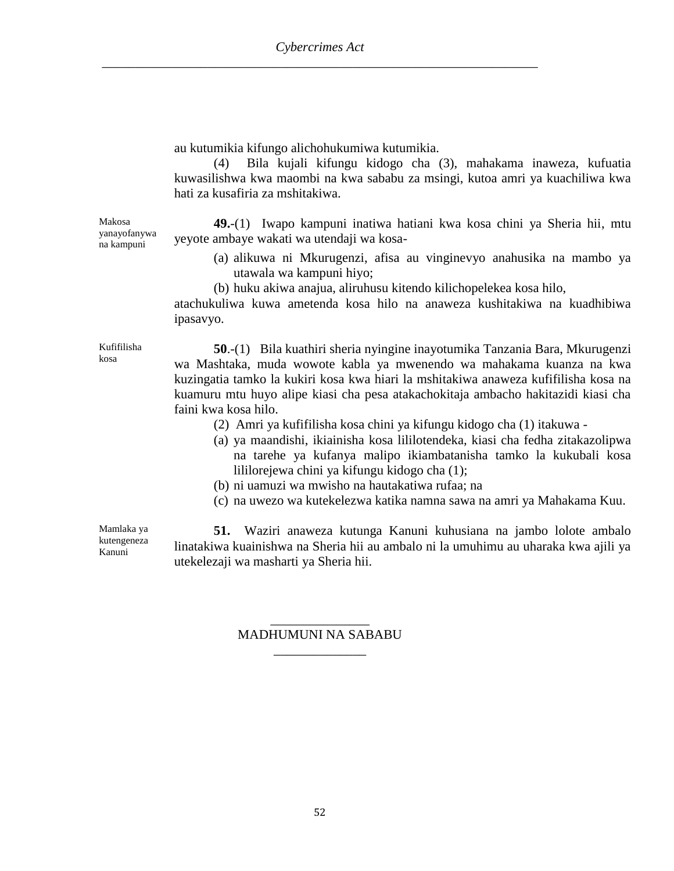au kutumikia kifungo alichohukumiwa kutumikia.

(4) Bila kujali kifungu kidogo cha (3), mahakama inaweza, kufuatia kuwasilishwa kwa maombi na kwa sababu za msingi, kutoa amri ya kuachiliwa kwa hati za kusafiria za mshitakiwa.

Makosa yanayofanywa na kampuni

**49.**-(1) Iwapo kampuni inatiwa hatiani kwa kosa chini ya Sheria hii, mtu yeyote ambaye wakati wa utendaji wa kosa-

- (a) alikuwa ni Mkurugenzi, afisa au vinginevyo anahusika na mambo ya utawala wa kampuni hiyo;
- (b) huku akiwa anajua, aliruhusu kitendo kilichopelekea kosa hilo,

atachukuliwa kuwa ametenda kosa hilo na anaweza kushitakiwa na kuadhibiwa ipasavyo.

Kufifilisha kosa

**50**.-(1) Bila kuathiri sheria nyingine inayotumika Tanzania Bara, Mkurugenzi wa Mashtaka, muda wowote kabla ya mwenendo wa mahakama kuanza na kwa kuzingatia tamko la kukiri kosa kwa hiari la mshitakiwa anaweza kufifilisha kosa na kuamuru mtu huyo alipe kiasi cha pesa atakachokitaja ambacho hakitazidi kiasi cha faini kwa kosa hilo.

- (2) Amri ya kufifilisha kosa chini ya kifungu kidogo cha (1) itakuwa -
- (a) ya maandishi, ikiainisha kosa lililotendeka, kiasi cha fedha zitakazolipwa na tarehe ya kufanya malipo ikiambatanisha tamko la kukubali kosa lililorejewa chini ya kifungu kidogo cha (1);
- (b) ni uamuzi wa mwisho na hautakatiwa rufaa; na
- (c) na uwezo wa kutekelezwa katika namna sawa na amri ya Mahakama Kuu.

Mamlaka ya kutengeneza Kanuni

**51.** Waziri anaweza kutunga Kanuni kuhusiana na jambo lolote ambalo linatakiwa kuainishwa na Sheria hii au ambalo ni la umuhimu au uharaka kwa ajili ya utekelezaji wa masharti ya Sheria hii.

### \_\_\_\_\_\_\_\_\_\_\_\_\_\_\_ MADHUMUNI NA SABABU \_\_\_\_\_\_\_\_\_\_\_\_\_\_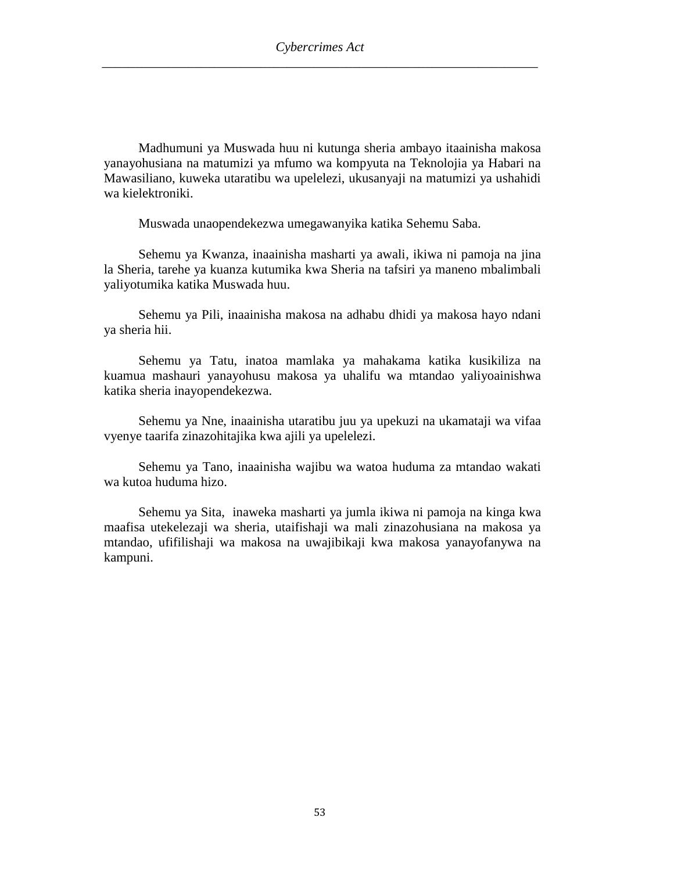Madhumuni ya Muswada huu ni kutunga sheria ambayo itaainisha makosa yanayohusiana na matumizi ya mfumo wa kompyuta na Teknolojia ya Habari na Mawasiliano, kuweka utaratibu wa upelelezi, ukusanyaji na matumizi ya ushahidi wa kielektroniki.

Muswada unaopendekezwa umegawanyika katika Sehemu Saba.

Sehemu ya Kwanza, inaainisha masharti ya awali, ikiwa ni pamoja na jina la Sheria, tarehe ya kuanza kutumika kwa Sheria na tafsiri ya maneno mbalimbali yaliyotumika katika Muswada huu.

Sehemu ya Pili, inaainisha makosa na adhabu dhidi ya makosa hayo ndani ya sheria hii.

Sehemu ya Tatu, inatoa mamlaka ya mahakama katika kusikiliza na kuamua mashauri yanayohusu makosa ya uhalifu wa mtandao yaliyoainishwa katika sheria inayopendekezwa.

Sehemu ya Nne, inaainisha utaratibu juu ya upekuzi na ukamataji wa vifaa vyenye taarifa zinazohitajika kwa ajili ya upelelezi.

Sehemu ya Tano, inaainisha wajibu wa watoa huduma za mtandao wakati wa kutoa huduma hizo.

Sehemu ya Sita, inaweka masharti ya jumla ikiwa ni pamoja na kinga kwa maafisa utekelezaji wa sheria, utaifishaji wa mali zinazohusiana na makosa ya mtandao, ufifilishaji wa makosa na uwajibikaji kwa makosa yanayofanywa na kampuni.